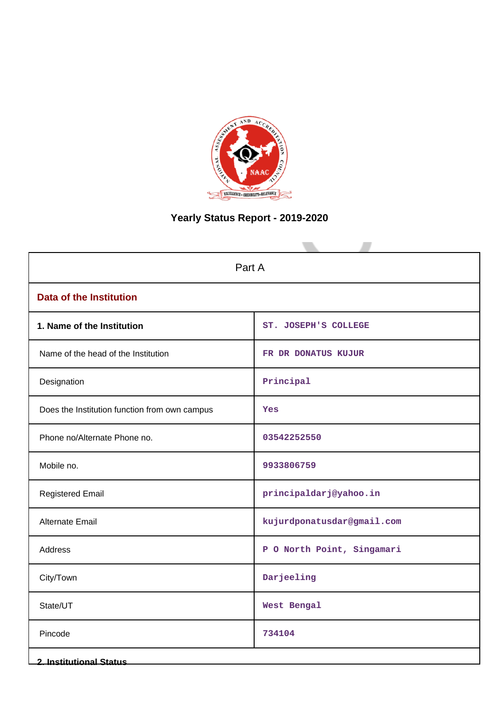

# **Yearly Status Report - 2019-2020**

| Part A                                        |                            |  |  |  |  |
|-----------------------------------------------|----------------------------|--|--|--|--|
| <b>Data of the Institution</b>                |                            |  |  |  |  |
| 1. Name of the Institution                    | ST. JOSEPH'S COLLEGE       |  |  |  |  |
| Name of the head of the Institution           | FR DR DONATUS KUJUR        |  |  |  |  |
| Designation                                   | Principal                  |  |  |  |  |
| Does the Institution function from own campus | Yes                        |  |  |  |  |
| Phone no/Alternate Phone no.                  | 03542252550                |  |  |  |  |
| Mobile no.                                    | 9933806759                 |  |  |  |  |
| <b>Registered Email</b>                       | principaldarj@yahoo.in     |  |  |  |  |
| Alternate Email                               | kujurdponatusdar@gmail.com |  |  |  |  |
| Address                                       | P O North Point, Singamari |  |  |  |  |
| City/Town                                     | Darjeeling                 |  |  |  |  |
| State/UT                                      | West Bengal                |  |  |  |  |
| Pincode                                       | 734104                     |  |  |  |  |
| <b>2. Institutional Status</b>                |                            |  |  |  |  |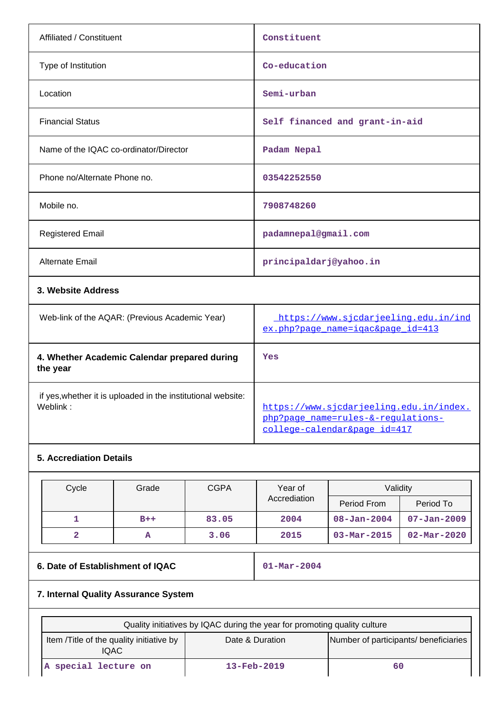| Affiliated / Constituent               | Constituent                    |
|----------------------------------------|--------------------------------|
| Type of Institution                    | Co-education                   |
| Location                               | Semi-urban                     |
| <b>Financial Status</b>                | Self financed and grant-in-aid |
| Name of the IQAC co-ordinator/Director | Padam Nepal                    |
| Phone no/Alternate Phone no.           | 03542252550                    |
| Mobile no.                             | 7908748260                     |
| <b>Registered Email</b>                | padamnepal@gmail.com           |
| Alternate Email                        | principaldarj@yahoo.in         |
| 3. Website Address                     |                                |

| Web-link of the AQAR: (Previous Academic Year)                           | https://www.sicdarjeeling.edu.in/ind<br>ex.php?page name=igac&page id=413                                     |
|--------------------------------------------------------------------------|---------------------------------------------------------------------------------------------------------------|
| 4. Whether Academic Calendar prepared during<br>the year                 | Yes                                                                                                           |
| if yes, whether it is uploaded in the institutional website:<br>Weblink: | https://www.sicdarjeeling.edu.in/index.<br>php?page name=rules-&-requlations-<br>college-calendar&page id=417 |

# **5. Accrediation Details**

| Cycle | <b>CGPA</b><br>Validity<br>Grade<br>Year of |       |              |                   |                          |
|-------|---------------------------------------------|-------|--------------|-------------------|--------------------------|
|       |                                             |       | Accrediation | Period From       | Period To                |
|       | $B++$                                       | 83.05 | 2004         | $08 - Jan - 2004$ | $07 - Jan - 2009$        |
| 2     | A                                           | 3.06  | 2015         | $03 - Mar - 2015$ | $02 - \text{Mar} - 2020$ |

# **6. Date of Establishment of IQAC 01-Mar-2004**

# **7. Internal Quality Assurance System**

| Quality initiatives by IQAC during the year for promoting quality culture                                      |  |  |  |  |  |  |  |  |
|----------------------------------------------------------------------------------------------------------------|--|--|--|--|--|--|--|--|
| Number of participants/ beneficiaries<br>Item / Title of the quality initiative by<br>Date & Duration<br>IQAC. |  |  |  |  |  |  |  |  |
| special lecture on<br>$13 - \text{Feb} - 2019$<br>60<br>IA.                                                    |  |  |  |  |  |  |  |  |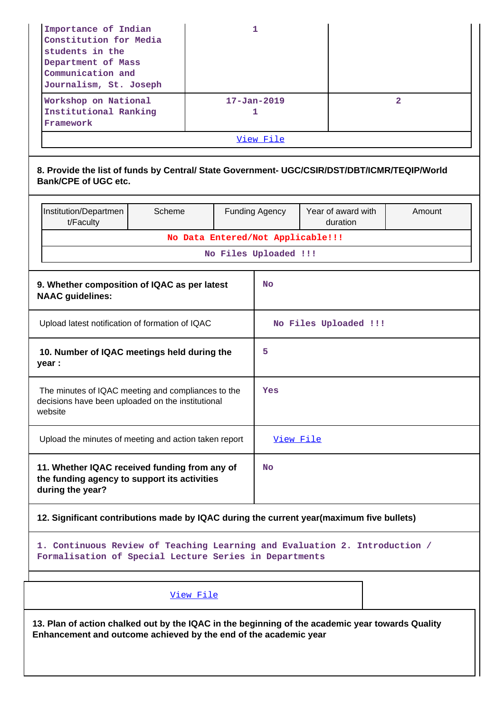| Importance of Indian<br>Constitution for Media<br>students in the<br>Department of Mass<br>Communication and<br>Journalism, St. Joseph<br>Workshop on National<br>Institutional Ranking | 1<br>$17 - Jan - 2019$ |                                   |                       | $\overline{2}$ |                                |        |  |  |
|-----------------------------------------------------------------------------------------------------------------------------------------------------------------------------------------|------------------------|-----------------------------------|-----------------------|----------------|--------------------------------|--------|--|--|
| Framework                                                                                                                                                                               |                        |                                   | 1                     |                |                                |        |  |  |
|                                                                                                                                                                                         |                        |                                   | View File             |                |                                |        |  |  |
| 8. Provide the list of funds by Central/ State Government- UGC/CSIR/DST/DBT/ICMR/TEQIP/World<br><b>Bank/CPE of UGC etc.</b>                                                             |                        |                                   |                       |                |                                |        |  |  |
| Institution/Departmen<br>t/Faculty                                                                                                                                                      | Scheme                 |                                   | <b>Funding Agency</b> |                | Year of award with<br>duration | Amount |  |  |
|                                                                                                                                                                                         |                        | No Data Entered/Not Applicable!!! |                       |                |                                |        |  |  |
|                                                                                                                                                                                         | No Files Uploaded !!!  |                                   |                       |                |                                |        |  |  |
| 9. Whether composition of IQAC as per latest<br><b>NAAC</b> guidelines:                                                                                                                 |                        |                                   | <b>No</b>             |                |                                |        |  |  |
| Upload latest notification of formation of IQAC                                                                                                                                         |                        |                                   |                       |                | No Files Uploaded !!!          |        |  |  |
| 10. Number of IQAC meetings held during the<br>year :                                                                                                                                   |                        |                                   | 5                     |                |                                |        |  |  |
| The minutes of IQAC meeting and compliances to the<br>decisions have been uploaded on the institutional<br>website                                                                      |                        |                                   | Yes                   |                |                                |        |  |  |
| Upload the minutes of meeting and action taken report                                                                                                                                   |                        |                                   | View File             |                |                                |        |  |  |
| 11. Whether IQAC received funding from any of<br>the funding agency to support its activities<br>during the year?                                                                       |                        |                                   | <b>No</b>             |                |                                |        |  |  |
| 12. Significant contributions made by IQAC during the current year(maximum five bullets)                                                                                                |                        |                                   |                       |                |                                |        |  |  |
| 1. Continuous Review of Teaching Learning and Evaluation 2. Introduction /<br>Formalisation of Special Lecture Series in Departments                                                    |                        |                                   |                       |                |                                |        |  |  |
| View File                                                                                                                                                                               |                        |                                   |                       |                |                                |        |  |  |
| 13. Plan of action chalked out by the IQAC in the beginning of the academic year towards Quality<br>Enhancement and outcome achieved by the end of the academic year                    |                        |                                   |                       |                |                                |        |  |  |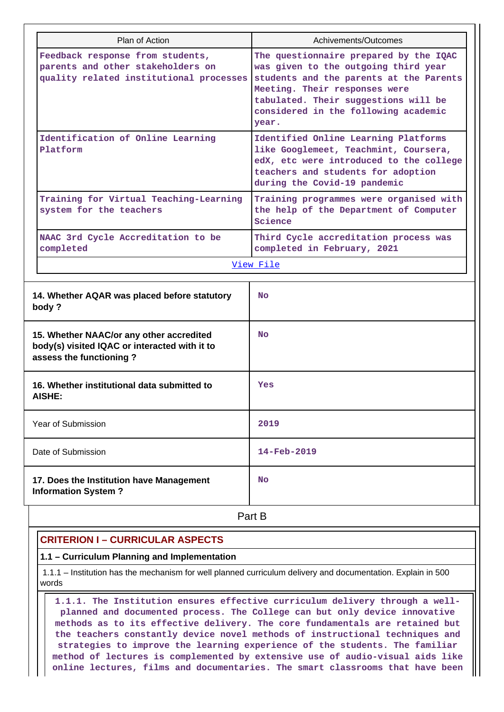|                                                                                                                      | Plan of Action                               | Achivements/Outcomes                                                                                                                                                                                                                                |  |  |  |  |
|----------------------------------------------------------------------------------------------------------------------|----------------------------------------------|-----------------------------------------------------------------------------------------------------------------------------------------------------------------------------------------------------------------------------------------------------|--|--|--|--|
| Feedback response from students,<br>parents and other stakeholders on<br>quality related institutional processes     |                                              | The questionnaire prepared by the IQAC<br>was given to the outgoing third year<br>students and the parents at the Parents<br>Meeting. Their responses were<br>tabulated. Their suggestions will be<br>considered in the following academic<br>year. |  |  |  |  |
| Identification of Online Learning<br>Platform                                                                        |                                              | Identified Online Learning Platforms<br>like Googlemeet, Teachmint, Coursera,<br>edX, etc were introduced to the college<br>teachers and students for adoption<br>during the Covid-19 pandemic                                                      |  |  |  |  |
| Training for Virtual Teaching-Learning<br>system for the teachers                                                    |                                              | Training programmes were organised with<br>the help of the Department of Computer<br>Science                                                                                                                                                        |  |  |  |  |
| completed                                                                                                            | NAAC 3rd Cycle Accreditation to be           | Third Cycle accreditation process was<br>completed in February, 2021                                                                                                                                                                                |  |  |  |  |
|                                                                                                                      |                                              | View File                                                                                                                                                                                                                                           |  |  |  |  |
| body?                                                                                                                | 14. Whether AQAR was placed before statutory | <b>No</b>                                                                                                                                                                                                                                           |  |  |  |  |
| 15. Whether NAAC/or any other accredited<br>body(s) visited IQAC or interacted with it to<br>assess the functioning? |                                              | No                                                                                                                                                                                                                                                  |  |  |  |  |
| 16. Whether institutional data submitted to<br>AISHE:                                                                |                                              | Yes                                                                                                                                                                                                                                                 |  |  |  |  |
| Year of Submission                                                                                                   |                                              | 2019                                                                                                                                                                                                                                                |  |  |  |  |
| Date of Submission                                                                                                   |                                              | 14-Feb-2019                                                                                                                                                                                                                                         |  |  |  |  |
| <b>Information System?</b>                                                                                           | 17. Does the Institution have Management     | <b>No</b>                                                                                                                                                                                                                                           |  |  |  |  |

**Part B** 

### **CRITERION I – CURRICULAR ASPECTS**

### **1.1 – Curriculum Planning and Implementation**

 1.1.1 – Institution has the mechanism for well planned curriculum delivery and documentation. Explain in 500 words

 **1.1.1. The Institution ensures effective curriculum delivery through a wellplanned and documented process. The College can but only device innovative methods as to its effective delivery. The core fundamentals are retained but the teachers constantly device novel methods of instructional techniques and strategies to improve the learning experience of the students. The familiar method of lectures is complemented by extensive use of audio-visual aids like online lectures, films and documentaries. The smart classrooms that have been**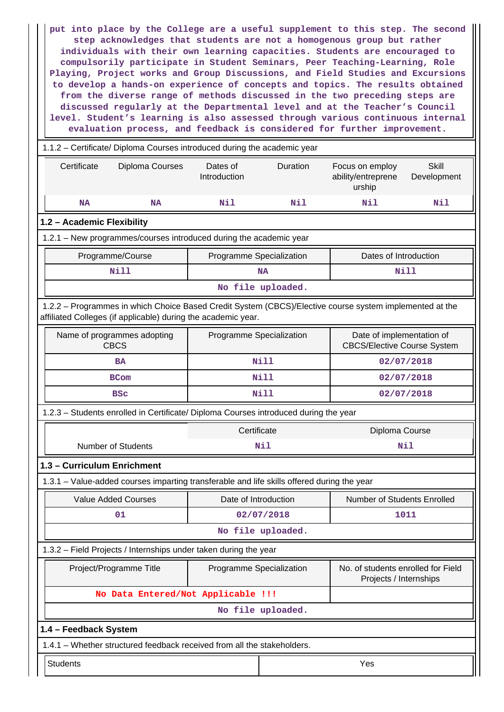**put into place by the College are a useful supplement to this step. The second step acknowledges that students are not a homogenous group but rather individuals with their own learning capacities. Students are encouraged to compulsorily participate in Student Seminars, Peer Teaching-Learning, Role Playing, Project works and Group Discussions, and Field Studies and Excursions to develop a hands-on experience of concepts and topics. The results obtained from the diverse range of methods discussed in the two preceding steps are discussed regularly at the Departmental level and at the Teacher's Council level. Student's learning is also assessed through various continuous internal evaluation process, and feedback is considered for further improvement.**

| 1.1.2 - Certificate/ Diploma Courses introduced during the academic year                                                                                                 |                                    |                                      |                           |                                                              |                             |  |  |  |
|--------------------------------------------------------------------------------------------------------------------------------------------------------------------------|------------------------------------|--------------------------------------|---------------------------|--------------------------------------------------------------|-----------------------------|--|--|--|
| Certificate                                                                                                                                                              | Diploma Courses                    | Duration<br>Dates of<br>Introduction |                           | Focus on employ<br>ability/entreprene<br>urship              | <b>Skill</b><br>Development |  |  |  |
| <b>NA</b>                                                                                                                                                                | <b>NA</b>                          | Nil                                  | Nil                       | Nil                                                          | Nil                         |  |  |  |
| 1.2 - Academic Flexibility                                                                                                                                               |                                    |                                      |                           |                                                              |                             |  |  |  |
| 1.2.1 - New programmes/courses introduced during the academic year                                                                                                       |                                    |                                      |                           |                                                              |                             |  |  |  |
| Programme/Course                                                                                                                                                         |                                    | Programme Specialization             |                           | Dates of Introduction                                        |                             |  |  |  |
| <b>Nill</b>                                                                                                                                                              |                                    |                                      | <b>NA</b>                 |                                                              | <b>Nill</b>                 |  |  |  |
| No file uploaded.                                                                                                                                                        |                                    |                                      |                           |                                                              |                             |  |  |  |
| 1.2.2 - Programmes in which Choice Based Credit System (CBCS)/Elective course system implemented at the<br>affiliated Colleges (if applicable) during the academic year. |                                    |                                      |                           |                                                              |                             |  |  |  |
| Name of programmes adopting<br>Programme Specialization<br>Date of implementation of<br><b>CBCS</b><br><b>CBCS/Elective Course System</b>                                |                                    |                                      |                           |                                                              |                             |  |  |  |
| <b>BA</b>                                                                                                                                                                |                                    |                                      | <b>Nill</b>               | 02/07/2018                                                   |                             |  |  |  |
| <b>BCom</b>                                                                                                                                                              |                                    |                                      | Nill<br>02/07/2018        |                                                              |                             |  |  |  |
| <b>BSC</b>                                                                                                                                                               |                                    |                                      | <b>Nill</b><br>02/07/2018 |                                                              |                             |  |  |  |
| 1.2.3 - Students enrolled in Certificate/ Diploma Courses introduced during the year                                                                                     |                                    |                                      |                           |                                                              |                             |  |  |  |
|                                                                                                                                                                          |                                    | Certificate                          |                           | Diploma Course                                               |                             |  |  |  |
| <b>Number of Students</b>                                                                                                                                                |                                    |                                      | Nil<br>Nil                |                                                              |                             |  |  |  |
| 1.3 - Curriculum Enrichment                                                                                                                                              |                                    |                                      |                           |                                                              |                             |  |  |  |
| 1.3.1 – Value-added courses imparting transferable and life skills offered during the year                                                                               |                                    |                                      |                           |                                                              |                             |  |  |  |
| <b>Value Added Courses</b>                                                                                                                                               |                                    | Date of Introduction                 |                           | Number of Students Enrolled                                  |                             |  |  |  |
| 01                                                                                                                                                                       |                                    |                                      | 02/07/2018                |                                                              | 1011                        |  |  |  |
|                                                                                                                                                                          |                                    |                                      | No file uploaded.         |                                                              |                             |  |  |  |
| 1.3.2 - Field Projects / Internships under taken during the year                                                                                                         |                                    |                                      |                           |                                                              |                             |  |  |  |
| Project/Programme Title                                                                                                                                                  |                                    | Programme Specialization             |                           | No. of students enrolled for Field<br>Projects / Internships |                             |  |  |  |
|                                                                                                                                                                          | No Data Entered/Not Applicable !!! |                                      |                           |                                                              |                             |  |  |  |
|                                                                                                                                                                          |                                    |                                      | No file uploaded.         |                                                              |                             |  |  |  |
| 1.4 - Feedback System                                                                                                                                                    |                                    |                                      |                           |                                                              |                             |  |  |  |
| 1.4.1 - Whether structured feedback received from all the stakeholders.                                                                                                  |                                    |                                      |                           |                                                              |                             |  |  |  |
| <b>Students</b><br>Yes                                                                                                                                                   |                                    |                                      |                           |                                                              |                             |  |  |  |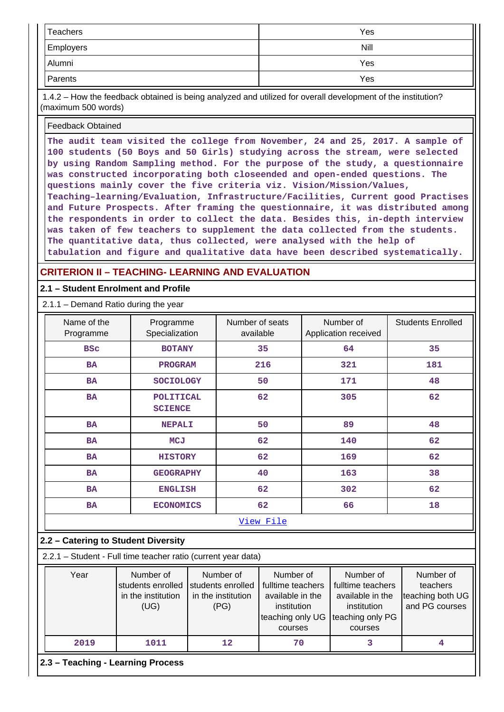| Teachers         | Yes  |
|------------------|------|
| <b>Employers</b> | Nill |
| Alumni           | Yes  |
| Parents          | Yes  |

 1.4.2 – How the feedback obtained is being analyzed and utilized for overall development of the institution? (maximum 500 words)

#### Feedback Obtained

**The audit team visited the college from November, 24 and 25, 2017. A sample of 100 students (50 Boys and 50 Girls) studying across the stream, were selected by using Random Sampling method. For the purpose of the study, a questionnaire was constructed incorporating both close-ended and open-ended questions. The questions mainly cover the five criteria viz. Vision/Mission/Values, Teaching–learning/Evaluation, Infrastructure/Facilities, Current good Practises and Future Prospects. After framing the questionnaire, it was distributed among the respondents in order to collect the data. Besides this, in-depth interview was taken of few teachers to supplement the data collected from the students. The quantitative data, thus collected, were analysed with the help of tabulation and figure and qualitative data have been described systematically.**

### **CRITERION II – TEACHING- LEARNING AND EVALUATION**

### **2.1 – Student Enrolment and Profile**

2.1.1 – Demand Ratio during the year

| Name of the<br>Programme      | Programme<br>Specialization        | Number of seats<br>available | Number of<br>Application received | <b>Students Enrolled</b> |
|-------------------------------|------------------------------------|------------------------------|-----------------------------------|--------------------------|
| <b>BSC</b>                    | <b>BOTANY</b>                      | 35                           | 64                                | 35                       |
| <b>BA</b><br><b>PROGRAM</b>   |                                    | 216                          | 321                               | 181                      |
| <b>BA</b><br><b>SOCIOLOGY</b> |                                    | 50                           | 171                               | 48                       |
| <b>BA</b>                     | <b>POLITICAL</b><br><b>SCIENCE</b> | 62                           | 305                               | 62                       |
| <b>BA</b>                     | <b>NEPALI</b>                      | 50                           | 89                                | 48                       |
| <b>BA</b>                     | <b>MCJ</b>                         | 62                           | 140                               | 62                       |
| <b>BA</b>                     | <b>HISTORY</b>                     | 62                           | 169                               | 62                       |
| <b>BA</b>                     | <b>GEOGRAPHY</b>                   | 40                           | 163                               | 38                       |
| <b>BA</b>                     | <b>ENGLISH</b>                     | 62                           | 302                               | 62                       |
| <b>BA</b>                     | <b>ECONOMICS</b>                   | 62                           | 66                                | 18                       |
|                               |                                    | View File                    |                                   |                          |

### **2.2 – Catering to Student Diversity**

2.2.1 – Student - Full time teacher ratio (current year data)

| Year | Number of<br>students enrolled<br>in the institution<br>(UG) | Number of<br>fulltime teachers<br>students enrolled<br>in the institution<br>(PG)<br>teaching only UG |    | Number of<br>fulltime teachers<br>available in the<br>institution<br>teaching only PG<br>courses | Number of<br>teachers<br>teaching both UG<br>and PG courses |  |  |  |  |  |  |  |  |
|------|--------------------------------------------------------------|-------------------------------------------------------------------------------------------------------|----|--------------------------------------------------------------------------------------------------|-------------------------------------------------------------|--|--|--|--|--|--|--|--|
| 2019 | 1011                                                         | 12                                                                                                    | 70 |                                                                                                  |                                                             |  |  |  |  |  |  |  |  |
|      |                                                              |                                                                                                       |    | 2.3 - Teaching - Learning Process                                                                |                                                             |  |  |  |  |  |  |  |  |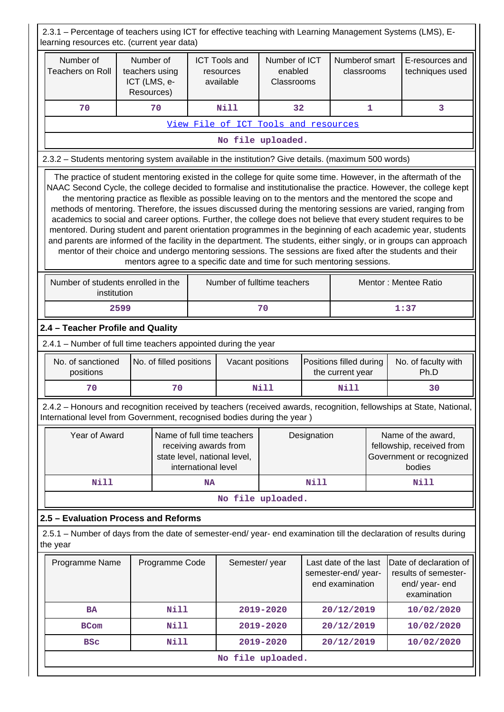2.3.1 – Percentage of teachers using ICT for effective teaching with Learning Management Systems (LMS), Elearning resources etc. (current year data)

| Number of<br>Number of<br>Number of ICT<br><b>ICT Tools and</b><br><b>Teachers on Roll</b><br>teachers using<br>enabled<br>resources<br>ICT (LMS, e-<br>available<br>Classrooms<br>Resources)                                                                                                                                                                                                                                                                                                                                                                                                                                                                                                                                                                                                                                                                                                                                                                                                                 |      |                         |                     |                                                                                     | Numberof smart<br>classrooms         |                                                                | E-resources and<br>techniques used          |   |                                                                                                                     |
|---------------------------------------------------------------------------------------------------------------------------------------------------------------------------------------------------------------------------------------------------------------------------------------------------------------------------------------------------------------------------------------------------------------------------------------------------------------------------------------------------------------------------------------------------------------------------------------------------------------------------------------------------------------------------------------------------------------------------------------------------------------------------------------------------------------------------------------------------------------------------------------------------------------------------------------------------------------------------------------------------------------|------|-------------------------|---------------------|-------------------------------------------------------------------------------------|--------------------------------------|----------------------------------------------------------------|---------------------------------------------|---|---------------------------------------------------------------------------------------------------------------------|
| 70                                                                                                                                                                                                                                                                                                                                                                                                                                                                                                                                                                                                                                                                                                                                                                                                                                                                                                                                                                                                            |      | 70                      |                     | Nill                                                                                | 32                                   |                                                                |                                             | 1 | 3                                                                                                                   |
|                                                                                                                                                                                                                                                                                                                                                                                                                                                                                                                                                                                                                                                                                                                                                                                                                                                                                                                                                                                                               |      |                         |                     |                                                                                     | View File of ICT Tools and resources |                                                                |                                             |   |                                                                                                                     |
|                                                                                                                                                                                                                                                                                                                                                                                                                                                                                                                                                                                                                                                                                                                                                                                                                                                                                                                                                                                                               |      |                         |                     |                                                                                     | No file uploaded.                    |                                                                |                                             |   |                                                                                                                     |
| 2.3.2 - Students mentoring system available in the institution? Give details. (maximum 500 words)                                                                                                                                                                                                                                                                                                                                                                                                                                                                                                                                                                                                                                                                                                                                                                                                                                                                                                             |      |                         |                     |                                                                                     |                                      |                                                                |                                             |   |                                                                                                                     |
| The practice of student mentoring existed in the college for quite some time. However, in the aftermath of the<br>NAAC Second Cycle, the college decided to formalise and institutionalise the practice. However, the college kept<br>the mentoring practice as flexible as possible leaving on to the mentors and the mentored the scope and<br>methods of mentoring. Therefore, the issues discussed during the mentoring sessions are varied, ranging from<br>academics to social and career options. Further, the college does not believe that every student requires to be<br>mentored. During student and parent orientation programmes in the beginning of each academic year, students<br>and parents are informed of the facility in the department. The students, either singly, or in groups can approach<br>mentor of their choice and undergo mentoring sessions. The sessions are fixed after the students and their<br>mentors agree to a specific date and time for such mentoring sessions. |      |                         |                     |                                                                                     |                                      |                                                                |                                             |   |                                                                                                                     |
| Number of students enrolled in the<br>Number of fulltime teachers<br>Mentor: Mentee Ratio<br>institution                                                                                                                                                                                                                                                                                                                                                                                                                                                                                                                                                                                                                                                                                                                                                                                                                                                                                                      |      |                         |                     |                                                                                     |                                      |                                                                |                                             |   |                                                                                                                     |
|                                                                                                                                                                                                                                                                                                                                                                                                                                                                                                                                                                                                                                                                                                                                                                                                                                                                                                                                                                                                               | 2599 |                         |                     |                                                                                     | 70                                   |                                                                |                                             |   | 1:37                                                                                                                |
| 2.4 - Teacher Profile and Quality                                                                                                                                                                                                                                                                                                                                                                                                                                                                                                                                                                                                                                                                                                                                                                                                                                                                                                                                                                             |      |                         |                     |                                                                                     |                                      |                                                                |                                             |   |                                                                                                                     |
| 2.4.1 - Number of full time teachers appointed during the year                                                                                                                                                                                                                                                                                                                                                                                                                                                                                                                                                                                                                                                                                                                                                                                                                                                                                                                                                |      |                         |                     |                                                                                     |                                      |                                                                |                                             |   |                                                                                                                     |
| No. of sanctioned<br>positions                                                                                                                                                                                                                                                                                                                                                                                                                                                                                                                                                                                                                                                                                                                                                                                                                                                                                                                                                                                |      | No. of filled positions |                     | Vacant positions                                                                    |                                      |                                                                | Positions filled during<br>the current year |   | No. of faculty with<br>Ph.D                                                                                         |
| 70                                                                                                                                                                                                                                                                                                                                                                                                                                                                                                                                                                                                                                                                                                                                                                                                                                                                                                                                                                                                            |      | 70                      |                     |                                                                                     | Nill                                 | Nill                                                           |                                             |   | 30                                                                                                                  |
| International level from Government, recognised bodies during the year)                                                                                                                                                                                                                                                                                                                                                                                                                                                                                                                                                                                                                                                                                                                                                                                                                                                                                                                                       |      |                         |                     |                                                                                     |                                      |                                                                |                                             |   | 2.4.2 - Honours and recognition received by teachers (received awards, recognition, fellowships at State, National, |
| Year of Award                                                                                                                                                                                                                                                                                                                                                                                                                                                                                                                                                                                                                                                                                                                                                                                                                                                                                                                                                                                                 |      |                         | international level | Name of full time teachers<br>receiving awards from<br>state level, national level, |                                      | Designation                                                    |                                             |   | Name of the award,<br>fellowship, received from<br>Government or recognized<br>bodies                               |
| <b>Nill</b>                                                                                                                                                                                                                                                                                                                                                                                                                                                                                                                                                                                                                                                                                                                                                                                                                                                                                                                                                                                                   |      |                         | <b>NA</b>           |                                                                                     |                                      | Nill                                                           |                                             |   | Nill                                                                                                                |
|                                                                                                                                                                                                                                                                                                                                                                                                                                                                                                                                                                                                                                                                                                                                                                                                                                                                                                                                                                                                               |      |                         |                     |                                                                                     | No file uploaded.                    |                                                                |                                             |   |                                                                                                                     |
| 2.5 - Evaluation Process and Reforms                                                                                                                                                                                                                                                                                                                                                                                                                                                                                                                                                                                                                                                                                                                                                                                                                                                                                                                                                                          |      |                         |                     |                                                                                     |                                      |                                                                |                                             |   |                                                                                                                     |
| the year                                                                                                                                                                                                                                                                                                                                                                                                                                                                                                                                                                                                                                                                                                                                                                                                                                                                                                                                                                                                      |      |                         |                     |                                                                                     |                                      |                                                                |                                             |   | 2.5.1 – Number of days from the date of semester-end/ year- end examination till the declaration of results during  |
| Programme Name<br>Programme Code                                                                                                                                                                                                                                                                                                                                                                                                                                                                                                                                                                                                                                                                                                                                                                                                                                                                                                                                                                              |      |                         |                     | Semester/year                                                                       |                                      | Last date of the last<br>semester-end/year-<br>end examination |                                             |   | Date of declaration of<br>results of semester-<br>end/ year- end<br>examination                                     |
| <b>BA</b>                                                                                                                                                                                                                                                                                                                                                                                                                                                                                                                                                                                                                                                                                                                                                                                                                                                                                                                                                                                                     |      | <b>Nill</b>             |                     |                                                                                     | 2019-2020                            |                                                                | 20/12/2019                                  |   | 10/02/2020                                                                                                          |
| <b>BCom</b>                                                                                                                                                                                                                                                                                                                                                                                                                                                                                                                                                                                                                                                                                                                                                                                                                                                                                                                                                                                                   |      | <b>Nill</b>             |                     |                                                                                     | 2019-2020                            |                                                                | 20/12/2019                                  |   | 10/02/2020                                                                                                          |
| <b>BSC</b>                                                                                                                                                                                                                                                                                                                                                                                                                                                                                                                                                                                                                                                                                                                                                                                                                                                                                                                                                                                                    |      | <b>Nill</b>             |                     |                                                                                     | 2019-2020                            |                                                                | 20/12/2019                                  |   | 10/02/2020                                                                                                          |
|                                                                                                                                                                                                                                                                                                                                                                                                                                                                                                                                                                                                                                                                                                                                                                                                                                                                                                                                                                                                               |      |                         |                     |                                                                                     | No file uploaded.                    |                                                                |                                             |   |                                                                                                                     |
|                                                                                                                                                                                                                                                                                                                                                                                                                                                                                                                                                                                                                                                                                                                                                                                                                                                                                                                                                                                                               |      |                         |                     |                                                                                     |                                      |                                                                |                                             |   |                                                                                                                     |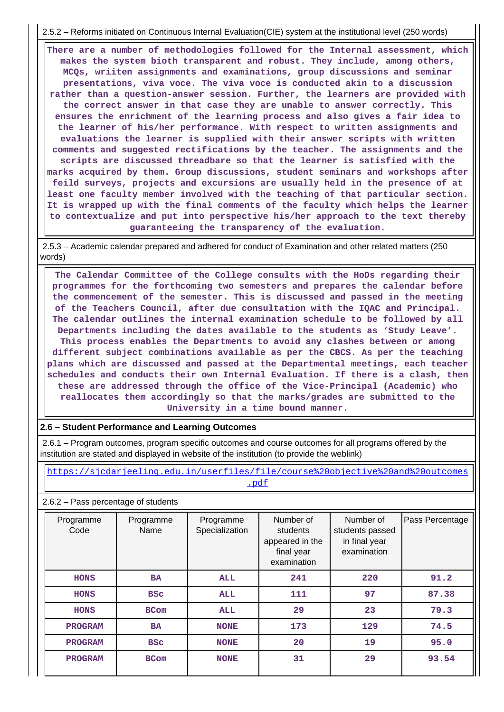2.5.2 – Reforms initiated on Continuous Internal Evaluation(CIE) system at the institutional level (250 words)

 **There are a number of methodologies followed for the Internal assessment, which makes the system bioth transparent and robust. They include, among others, MCQs, wriiten assignments and examinations, group discussions and seminar presentations, viva voce. The viva voce is conducted akin to a discussion rather than a question-answer session. Further, the learners are provided with the correct answer in that case they are unable to answer correctly. This ensures the enrichment of the learning process and also gives a fair idea to the learner of his/her performance. With respect to written assignments and evaluations the learner is supplied with their answer scripts with written comments and suggested rectifications by the teacher. The assignments and the scripts are discussed threadbare so that the learner is satisfied with the marks acquired by them. Group discussions, student seminars and workshops after feild surveys, projects and excursions are usually held in the presence of at least one faculty member involved with the teaching of that particular section. It is wrapped up with the final comments of the faculty which helps the learner to contextualize and put into perspective his/her approach to the text thereby guaranteeing the transparency of the evaluation.**

 2.5.3 – Academic calendar prepared and adhered for conduct of Examination and other related matters (250 words)

 **The Calendar Committee of the College consults with the HoDs regarding their programmes for the forthcoming two semesters and prepares the calendar before the commencement of the semester. This is discussed and passed in the meeting of the Teachers Council, after due consultation with the IQAC and Principal. The calendar outlines the internal examination schedule to be followed by all Departments including the dates available to the students as 'Study Leave'. This process enables the Departments to avoid any clashes between or among different subject combinations available as per the CBCS. As per the teaching plans which are discussed and passed at the Departmental meetings, each teacher schedules and conducts their own Internal Evaluation. If there is a clash, then these are addressed through the office of the Vice-Principal (Academic) who reallocates them accordingly so that the marks/grades are submitted to the University in a time bound manner.**

### **2.6 – Student Performance and Learning Outcomes**

 2.6.1 – Program outcomes, program specific outcomes and course outcomes for all programs offered by the institution are stated and displayed in website of the institution (to provide the weblink)

 [https://sjcdarjeeling.edu.in/userfiles/file/course%20objective%20and%20outcomes](https://sjcdarjeeling.edu.in/userfiles/file/course%20objective%20and%20outcomes.pdf) [.pdf](https://sjcdarjeeling.edu.in/userfiles/file/course%20objective%20and%20outcomes.pdf)

#### 2.6.2 – Pass percentage of students

| Programme<br>Code | Programme<br>Name | Programme<br>Specialization | Number of<br>students<br>appeared in the<br>final year<br>examination | Number of<br>students passed<br>in final year<br>examination | Pass Percentage |
|-------------------|-------------------|-----------------------------|-----------------------------------------------------------------------|--------------------------------------------------------------|-----------------|
| <b>HONS</b>       | <b>BA</b>         | ALL                         | 241                                                                   | 220                                                          | 91.2            |
| <b>HONS</b>       | <b>BSC</b>        | ALL                         | 111                                                                   | 97                                                           | 87.38           |
| <b>HONS</b>       | <b>BCom</b>       | ALL                         | 29                                                                    | 23                                                           | 79.3            |
| <b>PROGRAM</b>    | <b>BA</b>         | <b>NONE</b>                 | 173                                                                   | 129                                                          | 74.5            |
| <b>PROGRAM</b>    | <b>BSC</b>        | <b>NONE</b>                 | 20                                                                    | 19                                                           | 95.0            |
| <b>PROGRAM</b>    | <b>BCom</b>       | <b>NONE</b>                 | 31                                                                    | 29                                                           | 93.54           |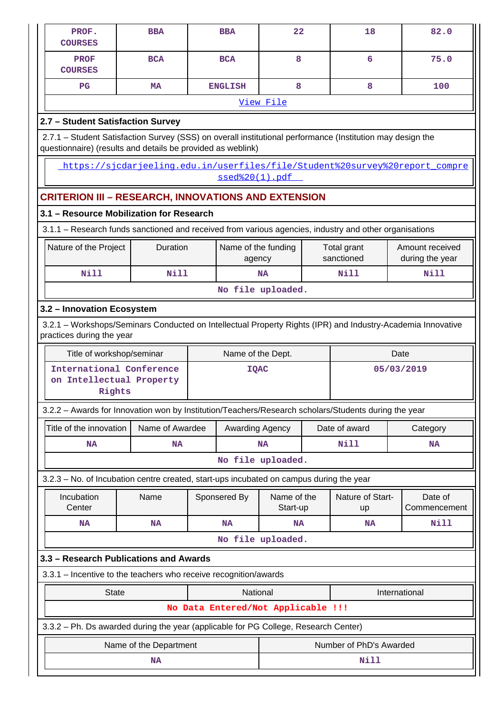| PROF.<br><b>COURSES</b>                                                                                                               | <b>BBA</b>                                                                                                                                                                |  | <b>BBA</b>        | 22                                 |  | 18                      |      | 82.0                    |  |  |  |  |
|---------------------------------------------------------------------------------------------------------------------------------------|---------------------------------------------------------------------------------------------------------------------------------------------------------------------------|--|-------------------|------------------------------------|--|-------------------------|------|-------------------------|--|--|--|--|
| <b>PROF</b><br><b>COURSES</b>                                                                                                         | <b>BCA</b>                                                                                                                                                                |  | <b>BCA</b>        | 8                                  |  | 6                       |      | 75.0                    |  |  |  |  |
| $_{\rm PG}$                                                                                                                           | <b>MA</b>                                                                                                                                                                 |  | <b>ENGLISH</b>    | 8                                  |  | 8                       |      | 100                     |  |  |  |  |
|                                                                                                                                       |                                                                                                                                                                           |  |                   | View File                          |  |                         |      |                         |  |  |  |  |
| 2.7 - Student Satisfaction Survey                                                                                                     |                                                                                                                                                                           |  |                   |                                    |  |                         |      |                         |  |  |  |  |
|                                                                                                                                       | 2.7.1 – Student Satisfaction Survey (SSS) on overall institutional performance (Institution may design the<br>questionnaire) (results and details be provided as weblink) |  |                   |                                    |  |                         |      |                         |  |  |  |  |
|                                                                                                                                       | https://sicdarjeeling.edu.in/userfiles/file/Student%20survey%20report compre                                                                                              |  | ssed%20(1).pdf    |                                    |  |                         |      |                         |  |  |  |  |
|                                                                                                                                       | <b>CRITERION III - RESEARCH, INNOVATIONS AND EXTENSION</b>                                                                                                                |  |                   |                                    |  |                         |      |                         |  |  |  |  |
| 3.1 - Resource Mobilization for Research                                                                                              |                                                                                                                                                                           |  |                   |                                    |  |                         |      |                         |  |  |  |  |
| 3.1.1 – Research funds sanctioned and received from various agencies, industry and other organisations                                |                                                                                                                                                                           |  |                   |                                    |  |                         |      |                         |  |  |  |  |
| Duration<br>Amount received<br>Nature of the Project<br>Name of the funding<br>Total grant<br>sanctioned<br>during the year<br>agency |                                                                                                                                                                           |  |                   |                                    |  |                         |      |                         |  |  |  |  |
| Nill                                                                                                                                  | <b>Nill</b>                                                                                                                                                               |  |                   | <b>NA</b>                          |  | Nill                    |      | <b>Nill</b>             |  |  |  |  |
|                                                                                                                                       |                                                                                                                                                                           |  |                   |                                    |  |                         |      |                         |  |  |  |  |
| 3.2 - Innovation Ecosystem                                                                                                            |                                                                                                                                                                           |  |                   |                                    |  |                         |      |                         |  |  |  |  |
| practices during the year                                                                                                             | 3.2.1 - Workshops/Seminars Conducted on Intellectual Property Rights (IPR) and Industry-Academia Innovative                                                               |  |                   |                                    |  |                         |      |                         |  |  |  |  |
| Title of workshop/seminar                                                                                                             |                                                                                                                                                                           |  | Name of the Dept. |                                    |  |                         | Date |                         |  |  |  |  |
| International Conference<br>on Intellectual Property<br>Rights                                                                        |                                                                                                                                                                           |  | <b>IQAC</b>       |                                    |  |                         |      | 05/03/2019              |  |  |  |  |
|                                                                                                                                       | 3.2.2 - Awards for Innovation won by Institution/Teachers/Research scholars/Students during the year                                                                      |  |                   |                                    |  |                         |      |                         |  |  |  |  |
| Title of the innovation                                                                                                               | Name of Awardee                                                                                                                                                           |  | Awarding Agency   |                                    |  | Date of award           |      | Category                |  |  |  |  |
| <b>NA</b>                                                                                                                             | <b>NA</b>                                                                                                                                                                 |  |                   | <b>NA</b>                          |  | <b>Nill</b>             |      | <b>NA</b>               |  |  |  |  |
|                                                                                                                                       |                                                                                                                                                                           |  |                   | No file uploaded.                  |  |                         |      |                         |  |  |  |  |
|                                                                                                                                       | 3.2.3 - No. of Incubation centre created, start-ups incubated on campus during the year                                                                                   |  |                   |                                    |  |                         |      |                         |  |  |  |  |
| Incubation<br>Center                                                                                                                  | Name                                                                                                                                                                      |  | Sponsered By      | Name of the<br>Start-up            |  | Nature of Start-<br>up  |      | Date of<br>Commencement |  |  |  |  |
| <b>NA</b>                                                                                                                             | <b>NA</b>                                                                                                                                                                 |  | <b>NA</b>         | <b>NA</b>                          |  | <b>NA</b>               |      | <b>Nill</b>             |  |  |  |  |
|                                                                                                                                       |                                                                                                                                                                           |  |                   | No file uploaded.                  |  |                         |      |                         |  |  |  |  |
|                                                                                                                                       | 3.3 - Research Publications and Awards                                                                                                                                    |  |                   |                                    |  |                         |      |                         |  |  |  |  |
|                                                                                                                                       | 3.3.1 - Incentive to the teachers who receive recognition/awards                                                                                                          |  |                   |                                    |  |                         |      |                         |  |  |  |  |
| <b>State</b><br>National<br>International                                                                                             |                                                                                                                                                                           |  |                   |                                    |  |                         |      |                         |  |  |  |  |
|                                                                                                                                       |                                                                                                                                                                           |  |                   | No Data Entered/Not Applicable !!! |  |                         |      |                         |  |  |  |  |
|                                                                                                                                       | 3.3.2 - Ph. Ds awarded during the year (applicable for PG College, Research Center)                                                                                       |  |                   |                                    |  |                         |      |                         |  |  |  |  |
|                                                                                                                                       | Name of the Department                                                                                                                                                    |  |                   |                                    |  | Number of PhD's Awarded |      |                         |  |  |  |  |
|                                                                                                                                       | <b>NA</b>                                                                                                                                                                 |  |                   |                                    |  | Nill                    |      |                         |  |  |  |  |
|                                                                                                                                       |                                                                                                                                                                           |  |                   |                                    |  |                         |      |                         |  |  |  |  |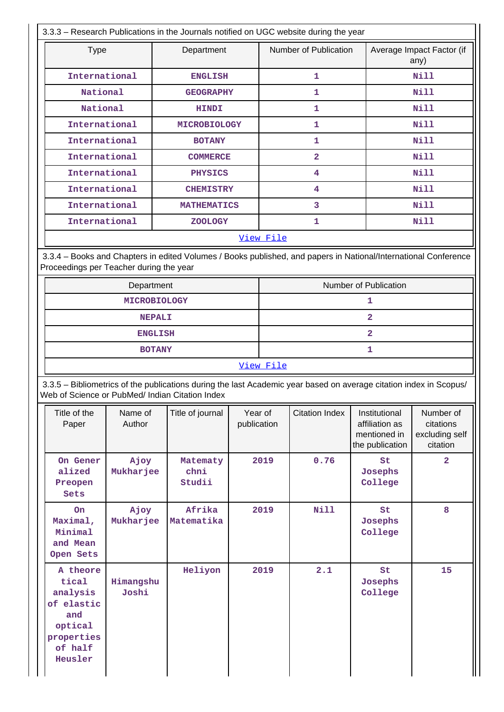|                                                                             |                                                 | 3.3.3 - Research Publications in the Journals notified on UGC website during the year                              |                        |                                                            |                       |                                                                    |                                                      |  |  |
|-----------------------------------------------------------------------------|-------------------------------------------------|--------------------------------------------------------------------------------------------------------------------|------------------------|------------------------------------------------------------|-----------------------|--------------------------------------------------------------------|------------------------------------------------------|--|--|
| <b>Type</b>                                                                 |                                                 | Department                                                                                                         |                        | Number of Publication<br>Average Impact Factor (if<br>any) |                       |                                                                    |                                                      |  |  |
|                                                                             | International                                   | <b>ENGLISH</b>                                                                                                     |                        |                                                            | 1                     |                                                                    | <b>Nill</b>                                          |  |  |
|                                                                             | National                                        | <b>GEOGRAPHY</b>                                                                                                   |                        |                                                            | 1                     |                                                                    | <b>Nill</b>                                          |  |  |
|                                                                             | National                                        | <b>HINDI</b>                                                                                                       |                        |                                                            | 1                     |                                                                    | <b>Nill</b>                                          |  |  |
|                                                                             | International                                   | <b>MICROBIOLOGY</b>                                                                                                |                        |                                                            | 1                     |                                                                    | <b>Nill</b>                                          |  |  |
|                                                                             | International                                   | <b>BOTANY</b>                                                                                                      |                        |                                                            | $\mathbf{1}$          |                                                                    | Nill                                                 |  |  |
|                                                                             | International                                   | <b>COMMERCE</b>                                                                                                    |                        |                                                            | $\overline{2}$        |                                                                    | Nill                                                 |  |  |
|                                                                             | International                                   | <b>PHYSICS</b>                                                                                                     |                        |                                                            | 4                     |                                                                    | <b>Nill</b>                                          |  |  |
|                                                                             | International                                   | <b>CHEMISTRY</b>                                                                                                   |                        |                                                            | 4                     |                                                                    | Nill                                                 |  |  |
|                                                                             | International                                   | <b>MATHEMATICS</b>                                                                                                 |                        |                                                            | 3                     |                                                                    | Nill                                                 |  |  |
|                                                                             | International                                   | <b>ZOOLOGY</b>                                                                                                     |                        |                                                            | $\mathbf{1}$          |                                                                    | <b>Nill</b>                                          |  |  |
|                                                                             |                                                 |                                                                                                                    |                        | View File                                                  |                       |                                                                    |                                                      |  |  |
|                                                                             | Proceedings per Teacher during the year         | 3.3.4 - Books and Chapters in edited Volumes / Books published, and papers in National/International Conference    |                        |                                                            |                       |                                                                    |                                                      |  |  |
|                                                                             | Department                                      |                                                                                                                    |                        | Number of Publication                                      |                       |                                                                    |                                                      |  |  |
|                                                                             | <b>MICROBIOLOGY</b>                             |                                                                                                                    |                        | 1                                                          |                       |                                                                    |                                                      |  |  |
|                                                                             | <b>NEPALI</b>                                   |                                                                                                                    |                        |                                                            |                       | $\overline{2}$                                                     |                                                      |  |  |
|                                                                             | <b>ENGLISH</b>                                  |                                                                                                                    |                        |                                                            |                       | $\overline{a}$                                                     |                                                      |  |  |
|                                                                             | <b>BOTANY</b>                                   |                                                                                                                    |                        | 1                                                          |                       |                                                                    |                                                      |  |  |
|                                                                             |                                                 |                                                                                                                    |                        | View File                                                  |                       |                                                                    |                                                      |  |  |
|                                                                             | Web of Science or PubMed/ Indian Citation Index | 3.3.5 - Bibliometrics of the publications during the last Academic year based on average citation index in Scopus/ |                        |                                                            |                       |                                                                    |                                                      |  |  |
| Title of the<br>Paper                                                       | Name of<br>Author                               | Title of journal                                                                                                   | Year of<br>publication |                                                            | <b>Citation Index</b> | Institutional<br>affiliation as<br>mentioned in<br>the publication | Number of<br>citations<br>excluding self<br>citation |  |  |
| On Gener<br>alized<br>Preopen<br>Sets                                       | Ajoy<br>Mukharjee                               | Matematy<br>chni<br>Studii                                                                                         |                        | 2019                                                       | 0.76                  | St<br>Josephs<br>College                                           | $\mathbf{2}$                                         |  |  |
| On<br>Maximal,<br>Minimal<br>and Mean<br>Open Sets                          | Afrika<br>Ajoy<br>Mukharjee<br>Matematika       |                                                                                                                    |                        | 2019                                                       | <b>Nill</b>           | St<br>Josephs<br>College                                           | 8                                                    |  |  |
| A theore<br>tical<br>analysis<br>of elastic<br>and<br>optical<br>properties | Himangshu<br>Joshi                              | Heliyon                                                                                                            |                        | 2019                                                       | 2.1                   | St<br>Josephs<br>College                                           | 15                                                   |  |  |

**of half Heusler**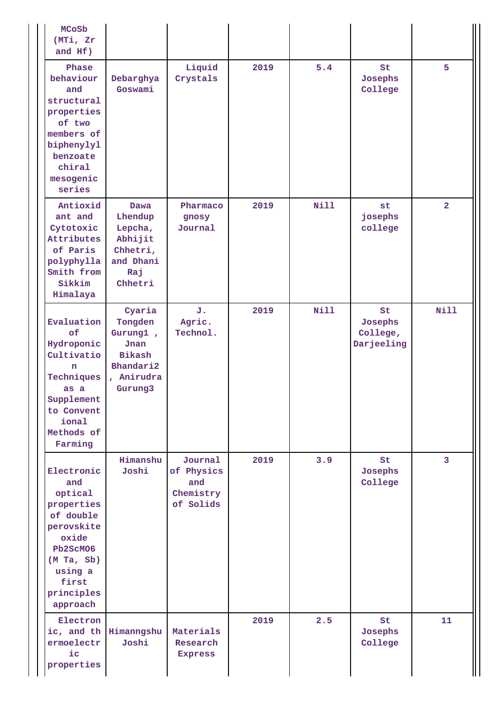| <b>MCoSb</b><br>(MTi, Zr<br>and Hf)                                                                                                                    |                                                                                         |                                                        |      |             |                                               |                         |
|--------------------------------------------------------------------------------------------------------------------------------------------------------|-----------------------------------------------------------------------------------------|--------------------------------------------------------|------|-------------|-----------------------------------------------|-------------------------|
| Phase<br>behaviour<br>and<br>structural<br>properties<br>of two<br>members of<br>biphenylyl<br>benzoate<br>chiral<br>mesogenic<br>series               | Debarghya<br>Goswami                                                                    | Liquid<br>Crystals                                     | 2019 | 5.4         | St<br>Josephs<br>College<br><b>Nill</b><br>st |                         |
| Antioxid<br>ant and<br>Cytotoxic<br>Attributes<br>of Paris<br>polyphylla<br>Smith from<br>Sikkim<br>Himalaya                                           | <b>Dawa</b><br>Lhendup<br>Lepcha,<br>Abhijit<br>Chhetri,<br>and Dhani<br>Raj<br>Chhetri | Pharmaco<br>gnosy<br>Journal                           | 2019 |             | josephs<br>college                            | $\overline{2}$          |
| Evaluation<br>of<br>Hydroponic<br>Cultivatio<br>n<br>Techniques<br>as a<br>Supplement<br>to Convent<br>ional<br>Methods of<br>Farming                  | Cyaria<br>Tongden<br>Gurung1,<br>Jnan<br>Bikash<br>Bhandari2<br>, Anirudra<br>Gurung3   | J.<br>Agric.<br>Technol.                               | 2019 | <b>Nill</b> | St<br>Josephs<br>College,<br>Darjeeling       | Nill                    |
| Electronic<br>and<br>optical<br>properties<br>of double<br>perovskite<br>oxide<br>Pb2ScM06<br>(M Ta, Sb)<br>using a<br>first<br>principles<br>approach | Himanshu<br>Joshi                                                                       | Journal<br>of Physics<br>and<br>Chemistry<br>of Solids | 2019 | 3.9         | St<br>Josephs<br>College                      | $\overline{\mathbf{3}}$ |
| Electron<br>ermoelectr<br>$i$ c<br>properties                                                                                                          | ic, and th Himanngshu<br>Joshi                                                          | Materials<br>Research<br><b>Express</b>                | 2019 | 2.5         | St<br>Josephs<br>College                      | 11                      |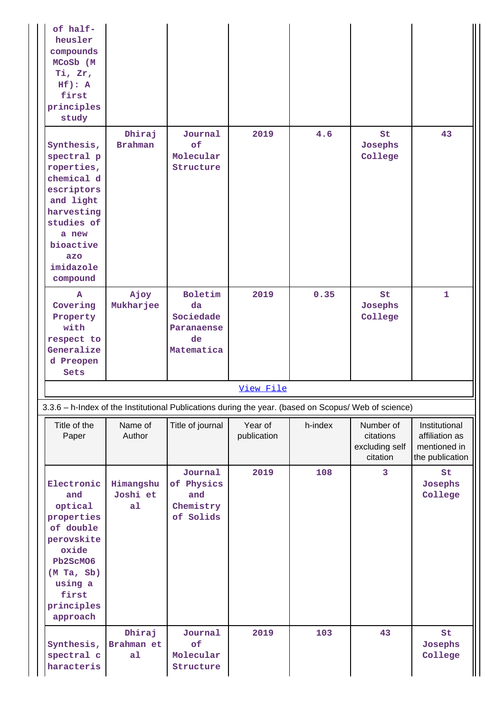| of half-<br>heusler<br>compounds<br>MCoSb (M<br>Ti, Zr,<br>$Hf$ ): A<br>first<br>principles<br>study                                                              |                                         |                                                              |                        |         |                                                      |                                                                    |
|-------------------------------------------------------------------------------------------------------------------------------------------------------------------|-----------------------------------------|--------------------------------------------------------------|------------------------|---------|------------------------------------------------------|--------------------------------------------------------------------|
| Synthesis,<br>spectral p<br>roperties,<br>chemical d<br>escriptors<br>and light<br>harvesting<br>studies of<br>a new<br>bioactive<br>azo<br>imidazole<br>compound | Dhiraj<br><b>Brahman</b>                | Journal<br>of<br>Molecular<br>Structure                      | 2019                   | 4.6     | St<br>Josephs<br>College                             | 43                                                                 |
| A<br>Covering<br>Property<br>with<br>respect to<br>Generalize<br>d Preopen<br>Sets                                                                                | Ajoy<br>Mukharjee                       | Boletim<br>da<br>Sociedade<br>Paranaense<br>de<br>Matematica | 2019                   | 0.35    | St<br>Josephs<br>College                             | $\mathbf{1}$                                                       |
|                                                                                                                                                                   |                                         |                                                              | View File              |         |                                                      |                                                                    |
| 3.3.6 - h-Index of the Institutional Publications during the year. (based on Scopus/ Web of science)                                                              |                                         |                                                              |                        |         |                                                      |                                                                    |
| Title of the<br>Paper                                                                                                                                             | Name of<br>Author                       | Title of journal                                             | Year of<br>publication | h-index | Number of<br>citations<br>excluding self<br>citation | Institutional<br>affiliation as<br>mentioned in<br>the publication |
| Electronic<br>and<br>optical<br>properties<br>of double<br>perovskite<br>oxide<br>Pb2ScM06<br>(M Ta, Sb)<br>using a<br>first<br>principles<br>approach            | Himangshu<br>Joshi et<br>a <sub>1</sub> | Journal<br>of Physics<br>and<br>Chemistry<br>of Solids       | 2019                   | 108     | 3                                                    | St<br>Josephs<br>College                                           |
| Synthesis,<br>spectral c<br>haracteris                                                                                                                            | Dhiraj<br>Brahman et<br>a1              | Journal<br>of<br>Molecular<br>Structure                      | 2019                   | 103     | 43                                                   | St<br>Josephs<br>College                                           |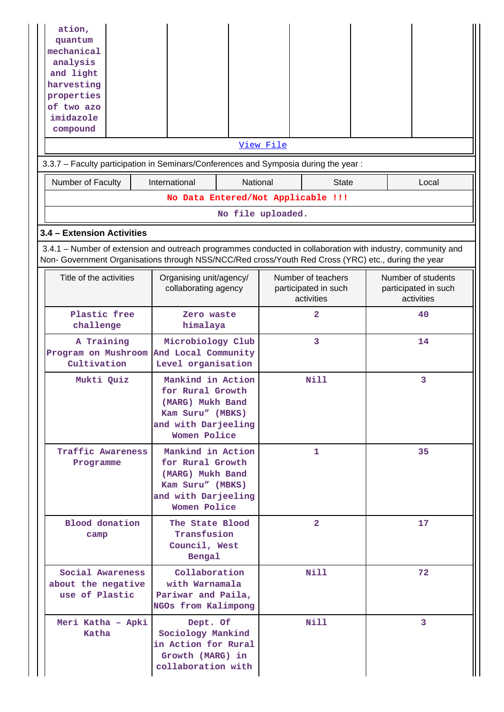| ation,<br>quantum<br>mechanical<br>analysis<br>and light<br>harvesting<br>properties<br>of two azo<br>imidazole<br>compound                                                                                        |                                                                                                                      |                                         | View File |                                                          |  |   |                                                          |
|--------------------------------------------------------------------------------------------------------------------------------------------------------------------------------------------------------------------|----------------------------------------------------------------------------------------------------------------------|-----------------------------------------|-----------|----------------------------------------------------------|--|---|----------------------------------------------------------|
| 3.3.7 - Faculty participation in Seminars/Conferences and Symposia during the year:                                                                                                                                |                                                                                                                      |                                         |           |                                                          |  |   |                                                          |
| Number of Faculty                                                                                                                                                                                                  | International                                                                                                        | National                                |           | <b>State</b>                                             |  |   | Local                                                    |
|                                                                                                                                                                                                                    | No Data Entered/Not Applicable !!!                                                                                   |                                         |           |                                                          |  |   |                                                          |
|                                                                                                                                                                                                                    |                                                                                                                      | No file uploaded.                       |           |                                                          |  |   |                                                          |
| 3.4 - Extension Activities                                                                                                                                                                                         |                                                                                                                      |                                         |           |                                                          |  |   |                                                          |
| 3.4.1 – Number of extension and outreach programmes conducted in collaboration with industry, community and<br>Non- Government Organisations through NSS/NCC/Red cross/Youth Red Cross (YRC) etc., during the year |                                                                                                                      |                                         |           |                                                          |  |   |                                                          |
| Title of the activities                                                                                                                                                                                            | Organising unit/agency/<br>collaborating agency                                                                      |                                         |           | Number of teachers<br>participated in such<br>activities |  |   | Number of students<br>participated in such<br>activities |
| Plastic free<br>challenge                                                                                                                                                                                          | Zero waste<br>himalaya                                                                                               |                                         |           | $\overline{a}$                                           |  |   | 40                                                       |
| A Training<br>Program on Mushroom And Local Community<br>Cultivation                                                                                                                                               |                                                                                                                      | Microbiology Club<br>Level organisation |           | 3                                                        |  |   | 14                                                       |
| Mukti Quiz                                                                                                                                                                                                         | Mankind in Action<br>for Rural Growth<br>(MARG) Mukh Band<br>Kam Suru" (MBKS)<br>and with Darjeeling<br>Women Police |                                         |           | Nill                                                     |  | 3 |                                                          |
| Traffic Awareness<br>Programme                                                                                                                                                                                     | Mankind in Action<br>for Rural Growth<br>(MARG) Mukh Band<br>Kam Suru" (MBKS)<br>and with Darjeeling<br>Women Police |                                         |           | 1                                                        |  |   | 35                                                       |
| <b>Blood</b> donation<br>camp                                                                                                                                                                                      | The State Blood<br>Transfusion<br>Council, West<br>Bengal                                                            |                                         |           | $\overline{2}$                                           |  |   | 17                                                       |
| Social Awareness<br>about the negative<br>use of Plastic                                                                                                                                                           | Collaboration<br>with Warnamala<br>Pariwar and Paila,<br>NGOs from Kalimpong                                         |                                         |           | Nill                                                     |  |   | 72                                                       |
| Meri Katha - Apki<br>Katha                                                                                                                                                                                         | Dept. Of<br>Sociology Mankind<br>in Action for Rural<br>Growth (MARG) in<br>collaboration with                       |                                         |           | Nill                                                     |  |   | 3                                                        |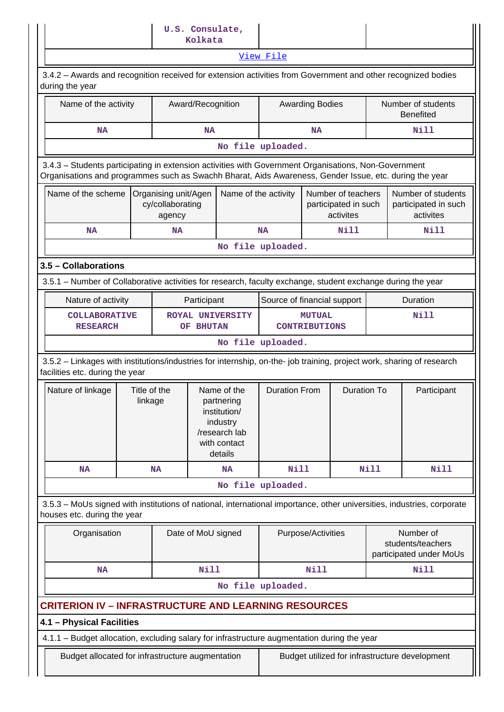|                                                                                                                                                                                                                |                         |                                                    | Kolkata            | U.S. Consulate,                                                                                   |                                       |                        |                                                         |             |                                                           |  |
|----------------------------------------------------------------------------------------------------------------------------------------------------------------------------------------------------------------|-------------------------|----------------------------------------------------|--------------------|---------------------------------------------------------------------------------------------------|---------------------------------------|------------------------|---------------------------------------------------------|-------------|-----------------------------------------------------------|--|
|                                                                                                                                                                                                                |                         |                                                    |                    |                                                                                                   | View File                             |                        |                                                         |             |                                                           |  |
| 3.4.2 - Awards and recognition received for extension activities from Government and other recognized bodies<br>during the year                                                                                |                         |                                                    |                    |                                                                                                   |                                       |                        |                                                         |             |                                                           |  |
| Name of the activity                                                                                                                                                                                           |                         |                                                    | Award/Recognition  |                                                                                                   |                                       | <b>Awarding Bodies</b> |                                                         |             | Number of students<br><b>Benefited</b>                    |  |
| <b>NA</b>                                                                                                                                                                                                      |                         |                                                    | <b>NA</b>          |                                                                                                   |                                       | <b>NA</b>              |                                                         |             | Nill                                                      |  |
|                                                                                                                                                                                                                |                         |                                                    |                    |                                                                                                   | No file uploaded.                     |                        |                                                         |             |                                                           |  |
| 3.4.3 - Students participating in extension activities with Government Organisations, Non-Government<br>Organisations and programmes such as Swachh Bharat, Aids Awareness, Gender Issue, etc. during the year |                         |                                                    |                    |                                                                                                   |                                       |                        |                                                         |             |                                                           |  |
| Name of the scheme                                                                                                                                                                                             |                         | Organising unit/Agen<br>cy/collaborating<br>agency |                    | Name of the activity                                                                              |                                       |                        | Number of teachers<br>participated in such<br>activites |             | Number of students<br>participated in such<br>activites   |  |
| <b>NA</b>                                                                                                                                                                                                      |                         | <b>NA</b>                                          |                    |                                                                                                   | <b>NA</b>                             |                        | Nill                                                    |             | Nill                                                      |  |
| No file uploaded.                                                                                                                                                                                              |                         |                                                    |                    |                                                                                                   |                                       |                        |                                                         |             |                                                           |  |
| 3.5 - Collaborations                                                                                                                                                                                           |                         |                                                    |                    |                                                                                                   |                                       |                        |                                                         |             |                                                           |  |
| 3.5.1 – Number of Collaborative activities for research, faculty exchange, student exchange during the year                                                                                                    |                         |                                                    |                    |                                                                                                   |                                       |                        |                                                         |             |                                                           |  |
| Nature of activity                                                                                                                                                                                             |                         |                                                    | Participant        |                                                                                                   | Source of financial support           |                        |                                                         |             | Duration                                                  |  |
| <b>COLLABORATIVE</b><br><b>RESEARCH</b>                                                                                                                                                                        |                         |                                                    | OF BHUTAN          | <b>ROYAL UNIVERSITY</b>                                                                           | <b>MUTUAL</b><br><b>CONTRIBUTIONS</b> |                        |                                                         |             | Nill                                                      |  |
|                                                                                                                                                                                                                |                         |                                                    |                    |                                                                                                   | No file uploaded.                     |                        |                                                         |             |                                                           |  |
| 3.5.2 - Linkages with institutions/industries for internship, on-the- job training, project work, sharing of research<br>facilities etc. during the year                                                       |                         |                                                    |                    |                                                                                                   |                                       |                        |                                                         |             |                                                           |  |
| Nature of linkage                                                                                                                                                                                              | Title of the<br>linkage |                                                    |                    | Name of the<br>partnering<br>institution/<br>industry<br>/research lab<br>with contact<br>details | <b>Duration From</b>                  |                        | <b>Duration To</b>                                      |             | Participant                                               |  |
| <b>NA</b>                                                                                                                                                                                                      |                         | <b>NA</b>                                          |                    | <b>NA</b>                                                                                         | <b>Nill</b>                           |                        |                                                         | <b>Nill</b> | Nill                                                      |  |
|                                                                                                                                                                                                                |                         |                                                    |                    |                                                                                                   | No file uploaded.                     |                        |                                                         |             |                                                           |  |
| 3.5.3 - MoUs signed with institutions of national, international importance, other universities, industries, corporate<br>houses etc. during the year                                                          |                         |                                                    |                    |                                                                                                   |                                       |                        |                                                         |             |                                                           |  |
| Organisation                                                                                                                                                                                                   |                         |                                                    | Date of MoU signed |                                                                                                   |                                       | Purpose/Activities     |                                                         |             | Number of<br>students/teachers<br>participated under MoUs |  |
| <b>NA</b>                                                                                                                                                                                                      |                         |                                                    | Nill               |                                                                                                   |                                       | Nill                   |                                                         |             | <b>Nill</b>                                               |  |
|                                                                                                                                                                                                                |                         |                                                    |                    |                                                                                                   | No file uploaded.                     |                        |                                                         |             |                                                           |  |
| <b>CRITERION IV - INFRASTRUCTURE AND LEARNING RESOURCES</b>                                                                                                                                                    |                         |                                                    |                    |                                                                                                   |                                       |                        |                                                         |             |                                                           |  |
| 4.1 - Physical Facilities                                                                                                                                                                                      |                         |                                                    |                    |                                                                                                   |                                       |                        |                                                         |             |                                                           |  |
| 4.1.1 - Budget allocation, excluding salary for infrastructure augmentation during the year                                                                                                                    |                         |                                                    |                    |                                                                                                   |                                       |                        |                                                         |             |                                                           |  |
|                                                                                                                                                                                                                |                         |                                                    |                    |                                                                                                   |                                       |                        |                                                         |             |                                                           |  |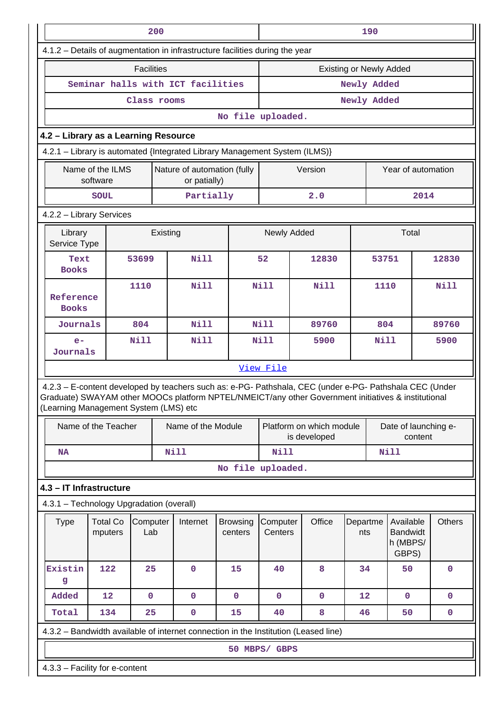|                                                                                                                                                                                                                                                         |                                                                            | 200               |  |                                             |                            | 190                            |                                          |                 |             |                                                   |                      |  |  |  |
|---------------------------------------------------------------------------------------------------------------------------------------------------------------------------------------------------------------------------------------------------------|----------------------------------------------------------------------------|-------------------|--|---------------------------------------------|----------------------------|--------------------------------|------------------------------------------|-----------------|-------------|---------------------------------------------------|----------------------|--|--|--|
| 4.1.2 - Details of augmentation in infrastructure facilities during the year                                                                                                                                                                            |                                                                            |                   |  |                                             |                            |                                |                                          |                 |             |                                                   |                      |  |  |  |
|                                                                                                                                                                                                                                                         |                                                                            | <b>Facilities</b> |  |                                             |                            | <b>Existing or Newly Added</b> |                                          |                 |             |                                                   |                      |  |  |  |
|                                                                                                                                                                                                                                                         | Seminar halls with ICT facilities                                          |                   |  |                                             |                            |                                |                                          | Newly Added     |             |                                                   |                      |  |  |  |
|                                                                                                                                                                                                                                                         |                                                                            | Class rooms       |  |                                             |                            |                                |                                          | Newly Added     |             |                                                   |                      |  |  |  |
|                                                                                                                                                                                                                                                         |                                                                            |                   |  |                                             | No file uploaded.          |                                |                                          |                 |             |                                                   |                      |  |  |  |
| 4.2 - Library as a Learning Resource                                                                                                                                                                                                                    |                                                                            |                   |  |                                             |                            |                                |                                          |                 |             |                                                   |                      |  |  |  |
|                                                                                                                                                                                                                                                         | 4.2.1 - Library is automated {Integrated Library Management System (ILMS)} |                   |  |                                             |                            |                                |                                          |                 |             |                                                   |                      |  |  |  |
|                                                                                                                                                                                                                                                         | Name of the ILMS<br>software                                               |                   |  | Nature of automation (fully<br>or patially) |                            |                                | Version                                  |                 |             |                                                   | Year of automation   |  |  |  |
|                                                                                                                                                                                                                                                         | <b>SOUL</b>                                                                |                   |  | Partially                                   |                            |                                | 2.0                                      |                 |             | 2014                                              |                      |  |  |  |
|                                                                                                                                                                                                                                                         | 4.2.2 - Library Services                                                   |                   |  |                                             |                            |                                |                                          |                 |             |                                                   |                      |  |  |  |
|                                                                                                                                                                                                                                                         | Total<br>Library<br>Newly Added<br>Existing<br>Service Type                |                   |  |                                             |                            |                                |                                          |                 |             |                                                   |                      |  |  |  |
| Text<br><b>Books</b>                                                                                                                                                                                                                                    |                                                                            | 53699             |  | <b>Nill</b>                                 |                            | 52                             | 12830                                    |                 | 53751       |                                                   | 12830                |  |  |  |
| Reference<br><b>Books</b>                                                                                                                                                                                                                               |                                                                            | 1110              |  | <b>Nill</b>                                 |                            | <b>Nill</b>                    | Nill                                     |                 | 1110        |                                                   | <b>Nill</b>          |  |  |  |
| Journals                                                                                                                                                                                                                                                |                                                                            | 804               |  | <b>Nill</b>                                 |                            | <b>Nill</b>                    | 89760                                    |                 | 804         |                                                   | 89760                |  |  |  |
| $e-$                                                                                                                                                                                                                                                    |                                                                            | <b>Nill</b>       |  | <b>Nill</b>                                 |                            | <b>Nill</b>                    | 5900                                     |                 | Nill        |                                                   | 5900                 |  |  |  |
| Journals                                                                                                                                                                                                                                                |                                                                            |                   |  |                                             |                            |                                |                                          |                 |             |                                                   |                      |  |  |  |
|                                                                                                                                                                                                                                                         |                                                                            |                   |  |                                             |                            | View File                      |                                          |                 |             |                                                   |                      |  |  |  |
| 4.2.3 - E-content developed by teachers such as: e-PG- Pathshala, CEC (under e-PG- Pathshala CEC (Under<br>Graduate) SWAYAM other MOOCs platform NPTEL/NMEICT/any other Government initiatives & institutional<br>(Learning Management System (LMS) etc |                                                                            |                   |  |                                             |                            |                                |                                          |                 |             |                                                   |                      |  |  |  |
|                                                                                                                                                                                                                                                         | Name of the Teacher                                                        |                   |  | Name of the Module                          |                            |                                | Platform on which module<br>is developed |                 |             | content                                           | Date of launching e- |  |  |  |
| NA                                                                                                                                                                                                                                                      |                                                                            |                   |  | Nill                                        |                            | Nill                           |                                          |                 | <b>Nill</b> |                                                   |                      |  |  |  |
|                                                                                                                                                                                                                                                         |                                                                            |                   |  |                                             | No file uploaded.          |                                |                                          |                 |             |                                                   |                      |  |  |  |
| 4.3 - IT Infrastructure                                                                                                                                                                                                                                 |                                                                            |                   |  |                                             |                            |                                |                                          |                 |             |                                                   |                      |  |  |  |
| 4.3.1 - Technology Upgradation (overall)                                                                                                                                                                                                                |                                                                            |                   |  |                                             |                            |                                |                                          |                 |             |                                                   |                      |  |  |  |
| <b>Type</b>                                                                                                                                                                                                                                             | <b>Total Co</b><br>mputers                                                 | Computer<br>Lab   |  | Internet                                    | <b>Browsing</b><br>centers | Computer<br>Centers            | Office                                   | Departme<br>nts |             | Available<br><b>Bandwidt</b><br>h (MBPS/<br>GBPS) | <b>Others</b>        |  |  |  |
| Existin<br>g                                                                                                                                                                                                                                            | 122                                                                        | 25                |  | $\mathbf 0$                                 | 15                         | 40                             | 8                                        | 34              |             | 50                                                | $\mathbf 0$          |  |  |  |
| Added                                                                                                                                                                                                                                                   | 12                                                                         | $\mathbf 0$       |  | $\mathbf 0$                                 | $\mathbf 0$                | $\mathbf 0$                    | $\mathbf 0$                              | 12              |             | $\mathbf 0$                                       | $\mathbf 0$          |  |  |  |
| Total                                                                                                                                                                                                                                                   | 134                                                                        | 25                |  | $\pmb{0}$                                   | 15                         | 40                             | 8                                        | 46              |             | 50                                                | $\pmb{0}$            |  |  |  |
| 4.3.2 - Bandwidth available of internet connection in the Institution (Leased line)                                                                                                                                                                     |                                                                            |                   |  |                                             |                            |                                |                                          |                 |             |                                                   |                      |  |  |  |
|                                                                                                                                                                                                                                                         |                                                                            |                   |  |                                             |                            | 50 MBPS/ GBPS                  |                                          |                 |             |                                                   |                      |  |  |  |
| 4.3.3 - Facility for e-content                                                                                                                                                                                                                          |                                                                            |                   |  |                                             |                            |                                |                                          |                 |             |                                                   |                      |  |  |  |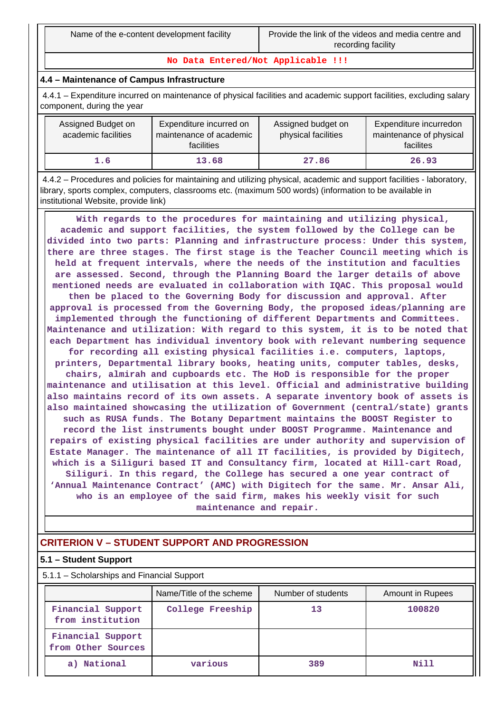**No Data Entered/Not Applicable !!!**

### **4.4 – Maintenance of Campus Infrastructure**

 4.4.1 – Expenditure incurred on maintenance of physical facilities and academic support facilities, excluding salary component, during the year

| Assigned Budget on<br>academic facilities | Expenditure incurred on<br>maintenance of academic<br><b>facilities</b> | Assigned budget on<br>physical facilities | Expenditure incurredon<br>maintenance of physical<br>facilites |
|-------------------------------------------|-------------------------------------------------------------------------|-------------------------------------------|----------------------------------------------------------------|
| 1.6                                       | 13.68                                                                   | 27.86                                     | 26.93                                                          |

 4.4.2 – Procedures and policies for maintaining and utilizing physical, academic and support facilities - laboratory, library, sports complex, computers, classrooms etc. (maximum 500 words) (information to be available in institutional Website, provide link)

 **With regards to the procedures for maintaining and utilizing physical, academic and support facilities, the system followed by the College can be divided into two parts: Planning and infrastructure process: Under this system, there are three stages. The first stage is the Teacher Council meeting which is held at frequent intervals, where the needs of the institution and faculties are assessed. Second, through the Planning Board the larger details of above mentioned needs are evaluated in collaboration with IQAC. This proposal would then be placed to the Governing Body for discussion and approval. After approval is processed from the Governing Body, the proposed ideas/planning are implemented through the functioning of different Departments and Committees. Maintenance and utilization: With regard to this system, it is to be noted that each Department has individual inventory book with relevant numbering sequence for recording all existing physical facilities i.e. computers, laptops, printers, Departmental library books, heating units, computer tables, desks, chairs, almirah and cupboards etc. The HoD is responsible for the proper maintenance and utilisation at this level. Official and administrative building also maintains record of its own assets. A separate inventory book of assets is also maintained showcasing the utilization of Government (central/state) grants such as RUSA funds. The Botany Department maintains the BOOST Register to record the list instruments bought under BOOST Programme. Maintenance and repairs of existing physical facilities are under authority and supervision of Estate Manager. The maintenance of all IT facilities, is provided by Digitech, which is a Siliguri based IT and Consultancy firm, located at Hill-cart Road,**

**Siliguri. In this regard, the College has secured a one year contract of 'Annual Maintenance Contract' (AMC) with Digitech for the same. Mr. Ansar Ali, who is an employee of the said firm, makes his weekly visit for such maintenance and repair.**

# **CRITERION V – STUDENT SUPPORT AND PROGRESSION**

### **5.1 – Student Support**

5.1.1 – Scholarships and Financial Support

|                                         | Name/Title of the scheme | Number of students | Amount in Rupees |
|-----------------------------------------|--------------------------|--------------------|------------------|
| Financial Support<br>from institution   | College Freeship         | 13                 | 100820           |
| Financial Support<br>from Other Sources |                          |                    |                  |
| National<br>a)                          | various                  | 389                | Nill             |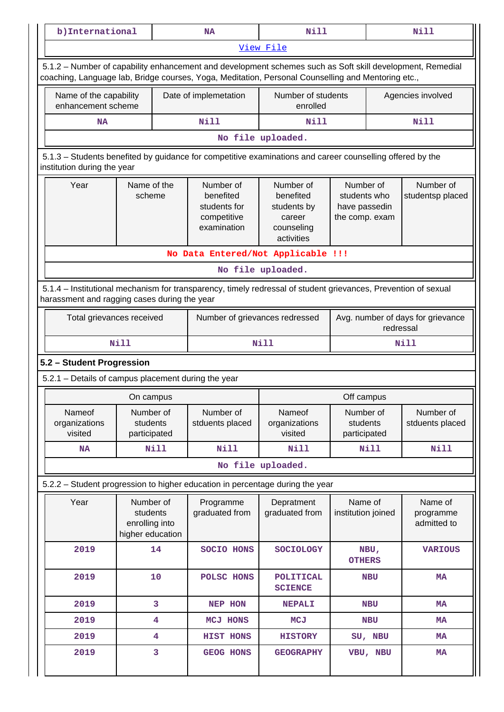| b) International                                                                                                                         |                                                             | <b>NA</b>                                                                                                                                                                                                       | <b>Nill</b>                                                                 |                                                              | <b>Nill</b>                                    |  |  |  |  |  |
|------------------------------------------------------------------------------------------------------------------------------------------|-------------------------------------------------------------|-----------------------------------------------------------------------------------------------------------------------------------------------------------------------------------------------------------------|-----------------------------------------------------------------------------|--------------------------------------------------------------|------------------------------------------------|--|--|--|--|--|
|                                                                                                                                          |                                                             |                                                                                                                                                                                                                 | View File                                                                   |                                                              |                                                |  |  |  |  |  |
|                                                                                                                                          |                                                             | 5.1.2 - Number of capability enhancement and development schemes such as Soft skill development, Remedial<br>coaching, Language lab, Bridge courses, Yoga, Meditation, Personal Counselling and Mentoring etc., |                                                                             |                                                              |                                                |  |  |  |  |  |
| Name of the capability<br>enhancement scheme                                                                                             |                                                             | Date of implemetation                                                                                                                                                                                           | Number of students<br>enrolled                                              |                                                              | Agencies involved                              |  |  |  |  |  |
| <b>NA</b>                                                                                                                                |                                                             | Nill                                                                                                                                                                                                            | <b>Nill</b>                                                                 |                                                              | Nill                                           |  |  |  |  |  |
|                                                                                                                                          |                                                             |                                                                                                                                                                                                                 | No file uploaded.                                                           |                                                              |                                                |  |  |  |  |  |
| 5.1.3 - Students benefited by guidance for competitive examinations and career counselling offered by the<br>institution during the year |                                                             |                                                                                                                                                                                                                 |                                                                             |                                                              |                                                |  |  |  |  |  |
| Year                                                                                                                                     | Name of the<br>scheme                                       | Number of<br>benefited<br>students for<br>competitive<br>examination                                                                                                                                            | Number of<br>benefited<br>students by<br>career<br>counseling<br>activities | Number of<br>students who<br>have passedin<br>the comp. exam | Number of<br>studentsp placed                  |  |  |  |  |  |
|                                                                                                                                          |                                                             | No Data Entered/Not Applicable !!!                                                                                                                                                                              |                                                                             |                                                              |                                                |  |  |  |  |  |
|                                                                                                                                          |                                                             |                                                                                                                                                                                                                 | No file uploaded.                                                           |                                                              |                                                |  |  |  |  |  |
| harassment and ragging cases during the year                                                                                             |                                                             | 5.1.4 – Institutional mechanism for transparency, timely redressal of student grievances, Prevention of sexual                                                                                                  |                                                                             |                                                              |                                                |  |  |  |  |  |
| Total grievances received                                                                                                                |                                                             | Number of grievances redressed                                                                                                                                                                                  |                                                                             |                                                              | Avg. number of days for grievance<br>redressal |  |  |  |  |  |
|                                                                                                                                          | <b>Nill</b>                                                 |                                                                                                                                                                                                                 | Nill                                                                        |                                                              | Nill                                           |  |  |  |  |  |
| 5.2 - Student Progression                                                                                                                |                                                             |                                                                                                                                                                                                                 |                                                                             |                                                              |                                                |  |  |  |  |  |
| 5.2.1 - Details of campus placement during the year                                                                                      |                                                             |                                                                                                                                                                                                                 |                                                                             |                                                              |                                                |  |  |  |  |  |
|                                                                                                                                          | On campus                                                   |                                                                                                                                                                                                                 |                                                                             | Off campus                                                   |                                                |  |  |  |  |  |
| Nameof<br>organizations<br>visited                                                                                                       | Number of<br>students<br>participated                       | Number of<br>stduents placed                                                                                                                                                                                    | Nameof<br>organizations<br>visited                                          | Number of<br>students<br>participated                        | Number of<br>stduents placed                   |  |  |  |  |  |
| NA                                                                                                                                       | Nill                                                        | Nill                                                                                                                                                                                                            | Nill                                                                        | <b>Nill</b>                                                  | <b>Nill</b>                                    |  |  |  |  |  |
|                                                                                                                                          |                                                             |                                                                                                                                                                                                                 | No file uploaded.                                                           |                                                              |                                                |  |  |  |  |  |
|                                                                                                                                          |                                                             | 5.2.2 - Student progression to higher education in percentage during the year                                                                                                                                   |                                                                             |                                                              |                                                |  |  |  |  |  |
| Year                                                                                                                                     | Number of<br>students<br>enrolling into<br>higher education | Programme<br>graduated from                                                                                                                                                                                     | Depratment<br>graduated from                                                | Name of<br>institution joined                                | Name of<br>programme<br>admitted to            |  |  |  |  |  |
| 2019                                                                                                                                     | 14                                                          | SOCIO HONS                                                                                                                                                                                                      | <b>SOCIOLOGY</b>                                                            | NBU,<br><b>OTHERS</b>                                        | <b>VARIOUS</b>                                 |  |  |  |  |  |
| 2019                                                                                                                                     | 10                                                          | POLSC HONS                                                                                                                                                                                                      | <b>POLITICAL</b><br><b>SCIENCE</b>                                          | <b>NBU</b>                                                   | <b>MA</b>                                      |  |  |  |  |  |
| 2019                                                                                                                                     | 3                                                           | NEP HON                                                                                                                                                                                                         | <b>NEPALI</b>                                                               | <b>NBU</b>                                                   | MA                                             |  |  |  |  |  |
| 2019                                                                                                                                     | 4                                                           | <b>MCJ HONS</b>                                                                                                                                                                                                 | <b>MCJ</b>                                                                  | <b>NBU</b>                                                   | <b>MA</b>                                      |  |  |  |  |  |
| 2019                                                                                                                                     | 4                                                           | <b>HIST HONS</b>                                                                                                                                                                                                | <b>HISTORY</b>                                                              | SU, NBU                                                      | <b>MA</b>                                      |  |  |  |  |  |
| 2019                                                                                                                                     | 3                                                           | <b>GEOG HONS</b>                                                                                                                                                                                                | <b>GEOGRAPHY</b>                                                            | VBU, NBU                                                     | MA                                             |  |  |  |  |  |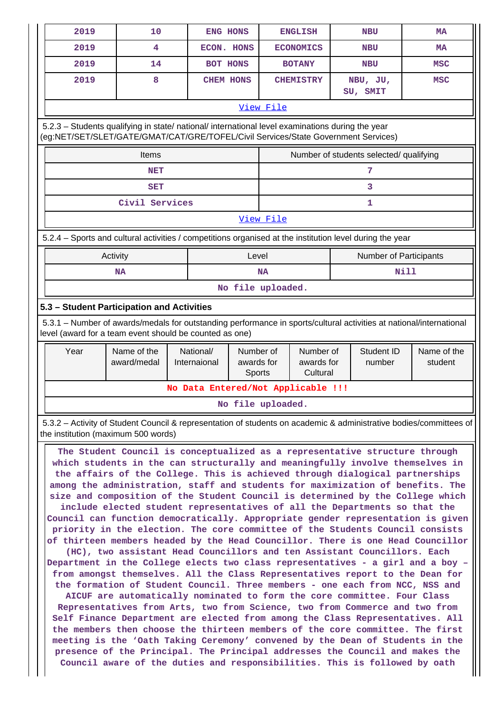| 2019                                                                                                                                                                                   | 10                                                                                                                                                                                                                                                                                                                             | ENG HONS                           |                                   |                   | <b>ENGLISH</b>                      |  | <b>NBU</b>             | MA                     |  |  |  |  |
|----------------------------------------------------------------------------------------------------------------------------------------------------------------------------------------|--------------------------------------------------------------------------------------------------------------------------------------------------------------------------------------------------------------------------------------------------------------------------------------------------------------------------------|------------------------------------|-----------------------------------|-------------------|-------------------------------------|--|------------------------|------------------------|--|--|--|--|
| 2019                                                                                                                                                                                   | 4                                                                                                                                                                                                                                                                                                                              | ECON. HONS                         |                                   |                   | <b>ECONOMICS</b>                    |  | <b>NBU</b>             | MA                     |  |  |  |  |
| 2019                                                                                                                                                                                   | 14                                                                                                                                                                                                                                                                                                                             | <b>BOT HONS</b>                    |                                   |                   | <b>BOTANY</b>                       |  | <b>NBU</b>             | <b>MSC</b>             |  |  |  |  |
| 2019                                                                                                                                                                                   | 8                                                                                                                                                                                                                                                                                                                              | <b>CHEM HONS</b>                   |                                   |                   | <b>CHEMISTRY</b>                    |  | NBU, JU,<br>SU, SMIT   | <b>MSC</b>             |  |  |  |  |
|                                                                                                                                                                                        |                                                                                                                                                                                                                                                                                                                                |                                    |                                   | View File         |                                     |  |                        |                        |  |  |  |  |
| 5.2.3 - Students qualifying in state/ national/ international level examinations during the year<br>(eg:NET/SET/SLET/GATE/GMAT/CAT/GRE/TOFEL/Civil Services/State Government Services) |                                                                                                                                                                                                                                                                                                                                |                                    |                                   |                   |                                     |  |                        |                        |  |  |  |  |
| Number of students selected/ qualifying<br>Items                                                                                                                                       |                                                                                                                                                                                                                                                                                                                                |                                    |                                   |                   |                                     |  |                        |                        |  |  |  |  |
|                                                                                                                                                                                        | <b>NET</b>                                                                                                                                                                                                                                                                                                                     |                                    |                                   |                   |                                     |  | 7                      |                        |  |  |  |  |
|                                                                                                                                                                                        | <b>SET</b>                                                                                                                                                                                                                                                                                                                     |                                    |                                   |                   |                                     |  | 3                      |                        |  |  |  |  |
|                                                                                                                                                                                        | Civil Services                                                                                                                                                                                                                                                                                                                 |                                    |                                   |                   |                                     |  | 1                      |                        |  |  |  |  |
| View File                                                                                                                                                                              |                                                                                                                                                                                                                                                                                                                                |                                    |                                   |                   |                                     |  |                        |                        |  |  |  |  |
| 5.2.4 - Sports and cultural activities / competitions organised at the institution level during the year                                                                               |                                                                                                                                                                                                                                                                                                                                |                                    |                                   |                   |                                     |  |                        |                        |  |  |  |  |
|                                                                                                                                                                                        | Activity                                                                                                                                                                                                                                                                                                                       |                                    | Level                             |                   |                                     |  | Number of Participants |                        |  |  |  |  |
|                                                                                                                                                                                        | <b>NA</b>                                                                                                                                                                                                                                                                                                                      |                                    |                                   | <b>NA</b>         |                                     |  | Nill                   |                        |  |  |  |  |
|                                                                                                                                                                                        |                                                                                                                                                                                                                                                                                                                                |                                    |                                   | No file uploaded. |                                     |  |                        |                        |  |  |  |  |
| 5.3 - Student Participation and Activities                                                                                                                                             |                                                                                                                                                                                                                                                                                                                                |                                    |                                   |                   |                                     |  |                        |                        |  |  |  |  |
| 5.3.1 - Number of awards/medals for outstanding performance in sports/cultural activities at national/international<br>level (award for a team event should be counted as one)         |                                                                                                                                                                                                                                                                                                                                |                                    |                                   |                   |                                     |  |                        |                        |  |  |  |  |
| Year                                                                                                                                                                                   | Name of the<br>award/medal                                                                                                                                                                                                                                                                                                     | National/<br>Internaional          | Number of<br>awards for<br>Sports |                   | Number of<br>awards for<br>Cultural |  | Student ID<br>number   | Name of the<br>student |  |  |  |  |
|                                                                                                                                                                                        |                                                                                                                                                                                                                                                                                                                                | No Data Entered/Not Applicable !!! |                                   |                   |                                     |  |                        |                        |  |  |  |  |
| No file uploaded.                                                                                                                                                                      |                                                                                                                                                                                                                                                                                                                                |                                    |                                   |                   |                                     |  |                        |                        |  |  |  |  |
| 5.3.2 – Activity of Student Council & representation of students on academic & administrative bodies/committees of<br>the institution (maximum 500 words)                              |                                                                                                                                                                                                                                                                                                                                |                                    |                                   |                   |                                     |  |                        |                        |  |  |  |  |
|                                                                                                                                                                                        | The Student Council is conceptualized as a representative structure through<br>which students in the can structurally and meaningfully involve themselves in<br>the affairs of the College. This is achieved through dialogical partnerships<br>among the administration, staff and students for maximization of benefits. The |                                    |                                   |                   |                                     |  |                        |                        |  |  |  |  |

**size and composition of the Student Council is determined by the College which include elected student representatives of all the Departments so that the Council can function democratically. Appropriate gender representation is given priority in the election. The core committee of the Students Council consists of thirteen members headed by the Head Councillor. There is one Head Councillor**

**(HC), two assistant Head Councillors and ten Assistant Councillors. Each Department in the College elects two class representatives - a girl and a boy – from amongst themselves. All the Class Representatives report to the Dean for the formation of Student Council. Three members - one each from NCC, NSS and**

**AICUF are automatically nominated to form the core committee. Four Class Representatives from Arts, two from Science, two from Commerce and two from Self Finance Department are elected from among the Class Representatives. All the members then choose the thirteen members of the core committee. The first meeting is the 'Oath Taking Ceremony' convened by the Dean of Students in the presence of the Principal. The Principal addresses the Council and makes the Council aware of the duties and responsibilities. This is followed by oath**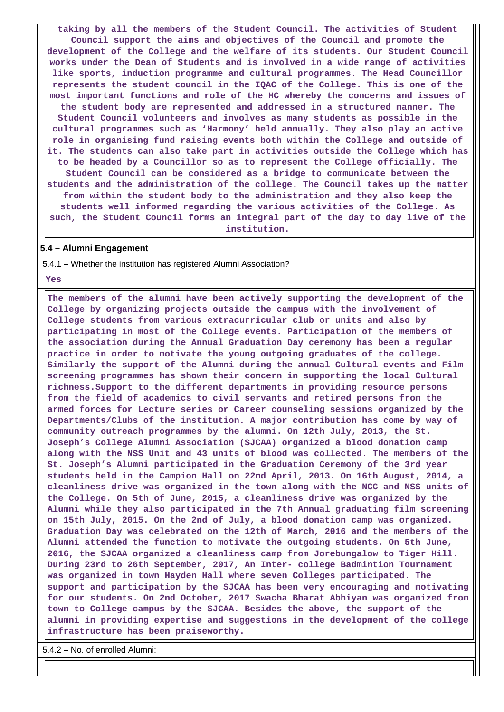**taking by all the members of the Student Council. The activities of Student Council support the aims and objectives of the Council and promote the development of the College and the welfare of its students. Our Student Council works under the Dean of Students and is involved in a wide range of activities like sports, induction programme and cultural programmes. The Head Councillor represents the student council in the IQAC of the College. This is one of the most important functions and role of the HC whereby the concerns and issues of the student body are represented and addressed in a structured manner. The Student Council volunteers and involves as many students as possible in the cultural programmes such as 'Harmony' held annually. They also play an active role in organising fund raising events both within the College and outside of it. The students can also take part in activities outside the College which has to be headed by a Councillor so as to represent the College officially. The Student Council can be considered as a bridge to communicate between the students and the administration of the college. The Council takes up the matter from within the student body to the administration and they also keep the students well informed regarding the various activities of the College. As such, the Student Council forms an integral part of the day to day live of the institution.**

#### **5.4 – Alumni Engagement**

5.4.1 – Whether the institution has registered Alumni Association?

 **Yes**

 **The members of the alumni have been actively supporting the development of the College by organizing projects outside the campus with the involvement of College students from various extracurricular club or units and also by participating in most of the College events. Participation of the members of the association during the Annual Graduation Day ceremony has been a regular practice in order to motivate the young outgoing graduates of the college. Similarly the support of the Alumni during the annual Cultural events and Film screening programmes has shown their concern in supporting the local Cultural richness.Support to the different departments in providing resource persons from the field of academics to civil servants and retired persons from the armed forces for Lecture series or Career counseling sessions organized by the Departments/Clubs of the institution. A major contribution has come by way of community outreach programmes by the alumni. On 12th July, 2013, the St. Joseph's College Alumni Association (SJCAA) organized a blood donation camp along with the NSS Unit and 43 units of blood was collected. The members of the St. Joseph's Alumni participated in the Graduation Ceremony of the 3rd year students held in the Campion Hall on 22nd April, 2013. On 16th August, 2014, a cleanliness drive was organized in the town along with the NCC and NSS units of the College. On 5th of June, 2015, a cleanliness drive was organized by the Alumni while they also participated in the 7th Annual graduating film screening on 15th July, 2015. On the 2nd of July, a blood donation camp was organized. Graduation Day was celebrated on the 12th of March, 2016 and the members of the Alumni attended the function to motivate the outgoing students. On 5th June, 2016, the SJCAA organized a cleanliness camp from Jorebungalow to Tiger Hill. During 23rd to 26th September, 2017, An Inter- college Badmintion Tournament was organized in town Hayden Hall where seven Colleges participated. The support and participation by the SJCAA has been very encouraging and motivating for our students. On 2nd October, 2017 Swacha Bharat Abhiyan was organized from town to College campus by the SJCAA. Besides the above, the support of the alumni in providing expertise and suggestions in the development of the college infrastructure has been praiseworthy.**

5.4.2 – No. of enrolled Alumni: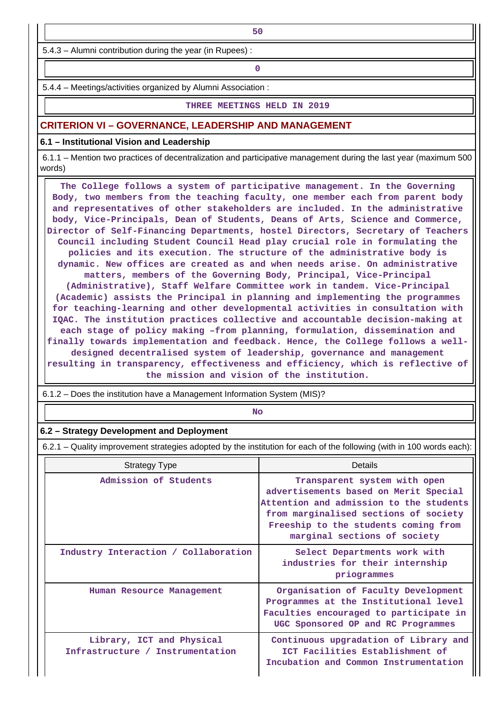5.4.3 – Alumni contribution during the year (in Rupees) :

**0**

5.4.4 – Meetings/activities organized by Alumni Association :

#### **THREE MEETINGS HELD IN 2019**

#### **CRITERION VI – GOVERNANCE, LEADERSHIP AND MANAGEMENT**

#### **6.1 – Institutional Vision and Leadership**

 6.1.1 – Mention two practices of decentralization and participative management during the last year (maximum 500 words)

 **The College follows a system of participative management. In the Governing Body, two members from the teaching faculty, one member each from parent body and representatives of other stakeholders are included. In the administrative body, Vice-Principals, Dean of Students, Deans of Arts, Science and Commerce, Director of Self-Financing Departments, hostel Directors, Secretary of Teachers Council including Student Council Head play crucial role in formulating the policies and its execution. The structure of the administrative body is dynamic. New offices are created as and when needs arise. On administrative matters, members of the Governing Body, Principal, Vice-Principal (Administrative), Staff Welfare Committee work in tandem. Vice-Principal (Academic) assists the Principal in planning and implementing the programmes for teaching-learning and other developmental activities in consultation with IQAC. The institution practices collective and accountable decision-making at each stage of policy making –from planning, formulation, dissemination and finally towards implementation and feedback. Hence, the College follows a welldesigned decentralised system of leadership, governance and management resulting in transparency, effectiveness and efficiency, which is reflective of the mission and vision of the institution.**

6.1.2 – Does the institution have a Management Information System (MIS)?

**No. 2. In the case of the case of the case of the case of the case of the case of the case of the case of the case of the case of the case of the case of the case of the case of the case of the case of the case of the cas** 

#### **6.2 – Strategy Development and Deployment**

6.2.1 – Quality improvement strategies adopted by the institution for each of the following (with in 100 words each):

| <b>Strategy Type</b>                                          | Details                                                                                                                                                                                                                           |
|---------------------------------------------------------------|-----------------------------------------------------------------------------------------------------------------------------------------------------------------------------------------------------------------------------------|
| Admission of Students                                         | Transparent system with open<br>advertisements based on Merit Special<br>Attention and admission to the students<br>from marginalised sections of society<br>Freeship to the students coming from<br>marginal sections of society |
| Industry Interaction / Collaboration                          | Select Departments work with<br>industries for their internship<br>priogrammes                                                                                                                                                    |
| Human Resource Management                                     | Organisation of Faculty Development<br>Programmes at the Institutional level<br>Faculties encouraged to participate in<br>UGC Sponsored OP and RC Programmes                                                                      |
| Library, ICT and Physical<br>Infrastructure / Instrumentation | Continuous upgradation of Library and<br>ICT Facilities Establishment of<br>Incubation and Common Instrumentation                                                                                                                 |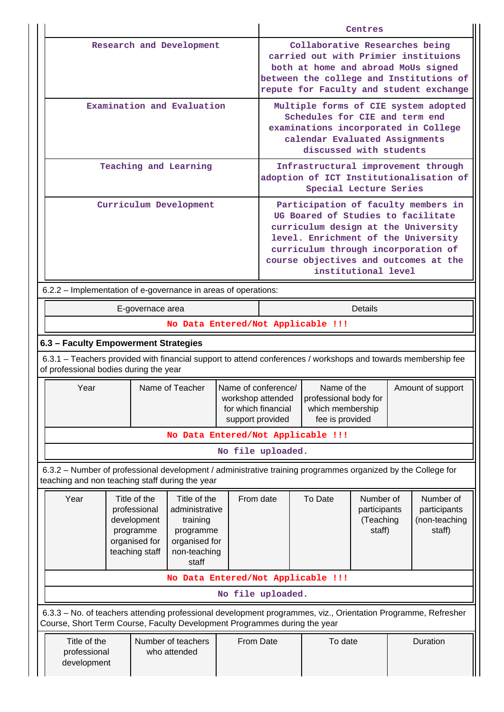|                                                                                                                                                                                            |                                                                                                   |                            | Centres                                                                             |                                                                                                                                                                                                                                                                |                                                  |          |                                                      |  |  |  |
|--------------------------------------------------------------------------------------------------------------------------------------------------------------------------------------------|---------------------------------------------------------------------------------------------------|----------------------------|-------------------------------------------------------------------------------------|----------------------------------------------------------------------------------------------------------------------------------------------------------------------------------------------------------------------------------------------------------------|--------------------------------------------------|----------|------------------------------------------------------|--|--|--|
|                                                                                                                                                                                            |                                                                                                   | Research and Development   |                                                                                     | Collaborative Researches being<br>carried out with Primier instituions<br>both at home and abroad MoUs signed<br>between the college and Institutions of<br>repute for Faculty and student exchange                                                            |                                                  |          |                                                      |  |  |  |
|                                                                                                                                                                                            |                                                                                                   | Examination and Evaluation |                                                                                     | Multiple forms of CIE system adopted<br>Schedules for CIE and term end<br>examinations incorporated in College<br>calendar Evaluated Assignments<br>discussed with students                                                                                    |                                                  |          |                                                      |  |  |  |
|                                                                                                                                                                                            | Teaching and Learning                                                                             |                            |                                                                                     | Infrastructural improvement through<br>adoption of ICT Institutionalisation of<br>Special Lecture Series                                                                                                                                                       |                                                  |          |                                                      |  |  |  |
|                                                                                                                                                                                            | Curriculum Development                                                                            |                            |                                                                                     | Participation of faculty members in<br>UG Boared of Studies to facilitate<br>curriculum design at the University<br>level. Enrichment of the University<br>curriculum through incorporation of<br>course objectives and outcomes at the<br>institutional level |                                                  |          |                                                      |  |  |  |
| 6.2.2 – Implementation of e-governance in areas of operations:                                                                                                                             |                                                                                                   |                            |                                                                                     |                                                                                                                                                                                                                                                                |                                                  |          |                                                      |  |  |  |
|                                                                                                                                                                                            | E-governace area                                                                                  |                            |                                                                                     |                                                                                                                                                                                                                                                                |                                                  | Details  |                                                      |  |  |  |
|                                                                                                                                                                                            |                                                                                                   |                            |                                                                                     |                                                                                                                                                                                                                                                                | No Data Entered/Not Applicable !!!               |          |                                                      |  |  |  |
| 6.3 - Faculty Empowerment Strategies                                                                                                                                                       |                                                                                                   |                            |                                                                                     |                                                                                                                                                                                                                                                                |                                                  |          |                                                      |  |  |  |
| 6.3.1 - Teachers provided with financial support to attend conferences / workshops and towards membership fee<br>of professional bodies during the year                                    |                                                                                                   |                            |                                                                                     |                                                                                                                                                                                                                                                                |                                                  |          |                                                      |  |  |  |
| Year                                                                                                                                                                                       |                                                                                                   | Name of Teacher            | Name of conference/<br>workshop attended<br>for which financial<br>support provided | Name of the<br>Amount of support<br>professional body for<br>which membership<br>fee is provided                                                                                                                                                               |                                                  |          |                                                      |  |  |  |
|                                                                                                                                                                                            |                                                                                                   |                            |                                                                                     |                                                                                                                                                                                                                                                                | No Data Entered/Not Applicable !!!               |          |                                                      |  |  |  |
|                                                                                                                                                                                            |                                                                                                   |                            | No file uploaded.                                                                   |                                                                                                                                                                                                                                                                |                                                  |          |                                                      |  |  |  |
| 6.3.2 – Number of professional development / administrative training programmes organized by the College for<br>teaching and non teaching staff during the year                            |                                                                                                   |                            |                                                                                     |                                                                                                                                                                                                                                                                |                                                  |          |                                                      |  |  |  |
| Year<br>Title of the<br>professional<br>development<br>programme<br>organised for<br>teaching staff                                                                                        | Title of the<br>administrative<br>training<br>programme<br>organised for<br>non-teaching<br>staff | From date                  |                                                                                     | To Date                                                                                                                                                                                                                                                        | Number of<br>participants<br>(Teaching<br>staff) |          | Number of<br>participants<br>(non-teaching<br>staff) |  |  |  |
|                                                                                                                                                                                            |                                                                                                   |                            |                                                                                     |                                                                                                                                                                                                                                                                | No Data Entered/Not Applicable !!!               |          |                                                      |  |  |  |
|                                                                                                                                                                                            |                                                                                                   |                            | No file uploaded.                                                                   |                                                                                                                                                                                                                                                                |                                                  |          |                                                      |  |  |  |
| 6.3.3 - No. of teachers attending professional development programmes, viz., Orientation Programme, Refresher<br>Course, Short Term Course, Faculty Development Programmes during the year |                                                                                                   |                            |                                                                                     |                                                                                                                                                                                                                                                                |                                                  |          |                                                      |  |  |  |
| Title of the<br>professional<br>development                                                                                                                                                | Number of teachers<br>who attended                                                                | From Date                  | To date                                                                             |                                                                                                                                                                                                                                                                |                                                  | Duration |                                                      |  |  |  |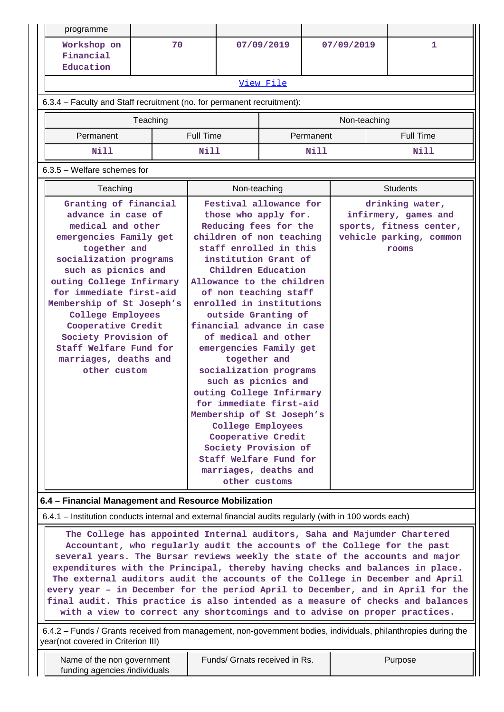| programme                                                                                                                                                                                                                                                                                                                                                                                                                                                                                                                                                                                                                                                                                                                                                                    |                                                                                                                                                                                                                                                                                                                                                                                                   |    |                  |              |                               |                                                                                                                                                                                                                                                                                                                                                                                                                                                                                                                                                                                                                                |  |  |                                                                                                        |  |
|------------------------------------------------------------------------------------------------------------------------------------------------------------------------------------------------------------------------------------------------------------------------------------------------------------------------------------------------------------------------------------------------------------------------------------------------------------------------------------------------------------------------------------------------------------------------------------------------------------------------------------------------------------------------------------------------------------------------------------------------------------------------------|---------------------------------------------------------------------------------------------------------------------------------------------------------------------------------------------------------------------------------------------------------------------------------------------------------------------------------------------------------------------------------------------------|----|------------------|--------------|-------------------------------|--------------------------------------------------------------------------------------------------------------------------------------------------------------------------------------------------------------------------------------------------------------------------------------------------------------------------------------------------------------------------------------------------------------------------------------------------------------------------------------------------------------------------------------------------------------------------------------------------------------------------------|--|--|--------------------------------------------------------------------------------------------------------|--|
| Workshop on<br>Financial                                                                                                                                                                                                                                                                                                                                                                                                                                                                                                                                                                                                                                                                                                                                                     |                                                                                                                                                                                                                                                                                                                                                                                                   | 70 |                  | 07/09/2019   |                               | 07/09/2019                                                                                                                                                                                                                                                                                                                                                                                                                                                                                                                                                                                                                     |  |  | 1                                                                                                      |  |
| Education                                                                                                                                                                                                                                                                                                                                                                                                                                                                                                                                                                                                                                                                                                                                                                    |                                                                                                                                                                                                                                                                                                                                                                                                   |    |                  |              |                               |                                                                                                                                                                                                                                                                                                                                                                                                                                                                                                                                                                                                                                |  |  |                                                                                                        |  |
| View File                                                                                                                                                                                                                                                                                                                                                                                                                                                                                                                                                                                                                                                                                                                                                                    |                                                                                                                                                                                                                                                                                                                                                                                                   |    |                  |              |                               |                                                                                                                                                                                                                                                                                                                                                                                                                                                                                                                                                                                                                                |  |  |                                                                                                        |  |
| 6.3.4 - Faculty and Staff recruitment (no. for permanent recruitment):                                                                                                                                                                                                                                                                                                                                                                                                                                                                                                                                                                                                                                                                                                       |                                                                                                                                                                                                                                                                                                                                                                                                   |    |                  |              |                               |                                                                                                                                                                                                                                                                                                                                                                                                                                                                                                                                                                                                                                |  |  |                                                                                                        |  |
| Teaching<br>Non-teaching                                                                                                                                                                                                                                                                                                                                                                                                                                                                                                                                                                                                                                                                                                                                                     |                                                                                                                                                                                                                                                                                                                                                                                                   |    |                  |              |                               |                                                                                                                                                                                                                                                                                                                                                                                                                                                                                                                                                                                                                                |  |  |                                                                                                        |  |
| Permanent                                                                                                                                                                                                                                                                                                                                                                                                                                                                                                                                                                                                                                                                                                                                                                    |                                                                                                                                                                                                                                                                                                                                                                                                   |    | <b>Full Time</b> |              |                               | Permanent                                                                                                                                                                                                                                                                                                                                                                                                                                                                                                                                                                                                                      |  |  | <b>Full Time</b>                                                                                       |  |
| Nill                                                                                                                                                                                                                                                                                                                                                                                                                                                                                                                                                                                                                                                                                                                                                                         |                                                                                                                                                                                                                                                                                                                                                                                                   |    | <b>Nill</b>      |              |                               | Nill                                                                                                                                                                                                                                                                                                                                                                                                                                                                                                                                                                                                                           |  |  | <b>Nill</b>                                                                                            |  |
| $6.3.5$ – Welfare schemes for                                                                                                                                                                                                                                                                                                                                                                                                                                                                                                                                                                                                                                                                                                                                                |                                                                                                                                                                                                                                                                                                                                                                                                   |    |                  |              |                               |                                                                                                                                                                                                                                                                                                                                                                                                                                                                                                                                                                                                                                |  |  |                                                                                                        |  |
|                                                                                                                                                                                                                                                                                                                                                                                                                                                                                                                                                                                                                                                                                                                                                                              |                                                                                                                                                                                                                                                                                                                                                                                                   |    |                  | Non-teaching |                               |                                                                                                                                                                                                                                                                                                                                                                                                                                                                                                                                                                                                                                |  |  | <b>Students</b>                                                                                        |  |
|                                                                                                                                                                                                                                                                                                                                                                                                                                                                                                                                                                                                                                                                                                                                                                              | Teaching<br>Granting of financial<br>advance in case of<br>medical and other<br>emergencies Family get<br>together and<br>socialization programs<br>such as picnics and<br>outing College Infirmary<br>for immediate first-aid<br>Membership of St Joseph's<br>College Employees<br>Cooperative Credit<br>Society Provision of<br>Staff Welfare Fund for<br>marriages, deaths and<br>other custom |    |                  |              |                               | Festival allowance for<br>those who apply for.<br>Reducing fees for the<br>children of non teaching<br>staff enrolled in this<br>institution Grant of<br>Children Education<br>Allowance to the children<br>of non teaching staff<br>enrolled in institutions<br>outside Granting of<br>financial advance in case<br>of medical and other<br>emergencies Family get<br>socialization programs<br>such as picnics and<br>outing College Infirmary<br>for immediate first-aid<br>Membership of St Joseph's<br>College Employees<br>Cooperative Credit<br>Society Provision of<br>Staff Welfare Fund for<br>marriages, deaths and |  |  | drinking water,<br>infirmery, games and<br>sports, fitness center,<br>vehicle parking, common<br>rooms |  |
| 6.4 - Financial Management and Resource Mobilization                                                                                                                                                                                                                                                                                                                                                                                                                                                                                                                                                                                                                                                                                                                         |                                                                                                                                                                                                                                                                                                                                                                                                   |    |                  |              |                               |                                                                                                                                                                                                                                                                                                                                                                                                                                                                                                                                                                                                                                |  |  |                                                                                                        |  |
| 6.4.1 – Institution conducts internal and external financial audits regularly (with in 100 words each)                                                                                                                                                                                                                                                                                                                                                                                                                                                                                                                                                                                                                                                                       |                                                                                                                                                                                                                                                                                                                                                                                                   |    |                  |              |                               |                                                                                                                                                                                                                                                                                                                                                                                                                                                                                                                                                                                                                                |  |  |                                                                                                        |  |
| The College has appointed Internal auditors, Saha and Majumder Chartered<br>Accountant, who regularly audit the accounts of the College for the past<br>several years. The Bursar reviews weekly the state of the accounts and major<br>expenditures with the Principal, thereby having checks and balances in place.<br>The external auditors audit the accounts of the College in December and April<br>every year - in December for the period April to December, and in April for the<br>final audit. This practice is also intended as a measure of checks and balances<br>with a view to correct any shortcomings and to advise on proper practices.<br>6.4.2 - Funds / Grants received from management, non-government bodies, individuals, philanthropies during the |                                                                                                                                                                                                                                                                                                                                                                                                   |    |                  |              |                               |                                                                                                                                                                                                                                                                                                                                                                                                                                                                                                                                                                                                                                |  |  |                                                                                                        |  |
| year(not covered in Criterion III)<br>Name of the non government                                                                                                                                                                                                                                                                                                                                                                                                                                                                                                                                                                                                                                                                                                             |                                                                                                                                                                                                                                                                                                                                                                                                   |    |                  |              | Funds/ Grnats received in Rs. |                                                                                                                                                                                                                                                                                                                                                                                                                                                                                                                                                                                                                                |  |  | Purpose                                                                                                |  |

funding agencies /individuals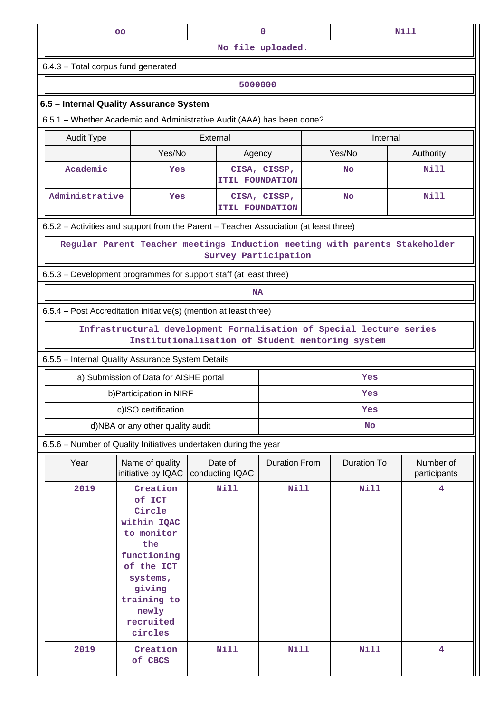|                                           | OO                                                                                                                                                                  |                            | $\mathbf 0$                            |                                                                                                                         | <b>Nill</b>               |  |  |  |  |  |
|-------------------------------------------|---------------------------------------------------------------------------------------------------------------------------------------------------------------------|----------------------------|----------------------------------------|-------------------------------------------------------------------------------------------------------------------------|---------------------------|--|--|--|--|--|
|                                           |                                                                                                                                                                     |                            | No file uploaded.                      |                                                                                                                         |                           |  |  |  |  |  |
| 6.4.3 - Total corpus fund generated       |                                                                                                                                                                     |                            |                                        |                                                                                                                         |                           |  |  |  |  |  |
|                                           |                                                                                                                                                                     |                            | 5000000                                |                                                                                                                         |                           |  |  |  |  |  |
|                                           | 6.5 - Internal Quality Assurance System                                                                                                                             |                            |                                        |                                                                                                                         |                           |  |  |  |  |  |
|                                           | 6.5.1 - Whether Academic and Administrative Audit (AAA) has been done?                                                                                              |                            |                                        |                                                                                                                         |                           |  |  |  |  |  |
| External<br><b>Audit Type</b><br>Internal |                                                                                                                                                                     |                            |                                        |                                                                                                                         |                           |  |  |  |  |  |
| Yes/No<br>Yes/No<br>Authority<br>Agency   |                                                                                                                                                                     |                            |                                        |                                                                                                                         |                           |  |  |  |  |  |
| Academic                                  | Yes                                                                                                                                                                 |                            | CISA, CISSP,<br><b>ITIL FOUNDATION</b> | <b>No</b>                                                                                                               | Nill                      |  |  |  |  |  |
| Administrative                            | Yes                                                                                                                                                                 |                            | CISA, CISSP,<br><b>ITIL FOUNDATION</b> | <b>No</b>                                                                                                               | N11                       |  |  |  |  |  |
|                                           | 6.5.2 - Activities and support from the Parent - Teacher Association (at least three)                                                                               |                            |                                        |                                                                                                                         |                           |  |  |  |  |  |
|                                           |                                                                                                                                                                     | Survey Participation       |                                        | Regular Parent Teacher meetings Induction meeting with parents Stakeholder                                              |                           |  |  |  |  |  |
|                                           | 6.5.3 – Development programmes for support staff (at least three)                                                                                                   |                            |                                        |                                                                                                                         |                           |  |  |  |  |  |
|                                           |                                                                                                                                                                     |                            | <b>NA</b>                              |                                                                                                                         |                           |  |  |  |  |  |
|                                           |                                                                                                                                                                     |                            |                                        |                                                                                                                         |                           |  |  |  |  |  |
|                                           | 6.5.4 - Post Accreditation initiative(s) (mention at least three)                                                                                                   |                            |                                        |                                                                                                                         |                           |  |  |  |  |  |
|                                           |                                                                                                                                                                     |                            |                                        | Infrastructural development Formalisation of Special lecture series<br>Institutionalisation of Student mentoring system |                           |  |  |  |  |  |
|                                           | 6.5.5 - Internal Quality Assurance System Details                                                                                                                   |                            |                                        |                                                                                                                         |                           |  |  |  |  |  |
|                                           | a) Submission of Data for AISHE portal                                                                                                                              |                            |                                        | Yes                                                                                                                     |                           |  |  |  |  |  |
|                                           | b) Participation in NIRF                                                                                                                                            |                            |                                        | Yes                                                                                                                     |                           |  |  |  |  |  |
|                                           | c)ISO certification                                                                                                                                                 |                            |                                        | Yes                                                                                                                     |                           |  |  |  |  |  |
|                                           | d)NBA or any other quality audit                                                                                                                                    |                            |                                        | <b>No</b>                                                                                                               |                           |  |  |  |  |  |
|                                           | 6.5.6 - Number of Quality Initiatives undertaken during the year                                                                                                    |                            |                                        |                                                                                                                         |                           |  |  |  |  |  |
| Year                                      | Name of quality<br>initiative by IQAC                                                                                                                               | Date of<br>conducting IQAC | <b>Duration From</b>                   | <b>Duration To</b>                                                                                                      | Number of<br>participants |  |  |  |  |  |
| 2019                                      | Creation<br>of ICT<br>Circle<br>within IQAC<br>to monitor<br>the<br>functioning<br>of the ICT<br>systems,<br>giving<br>training to<br>newly<br>recruited<br>circles | <b>Nill</b>                | <b>Nill</b>                            | <b>Nill</b>                                                                                                             | 4                         |  |  |  |  |  |
| 2019                                      | Creation<br>of CBCS                                                                                                                                                 | <b>Nill</b>                | <b>Nill</b>                            | <b>Nill</b>                                                                                                             | 4                         |  |  |  |  |  |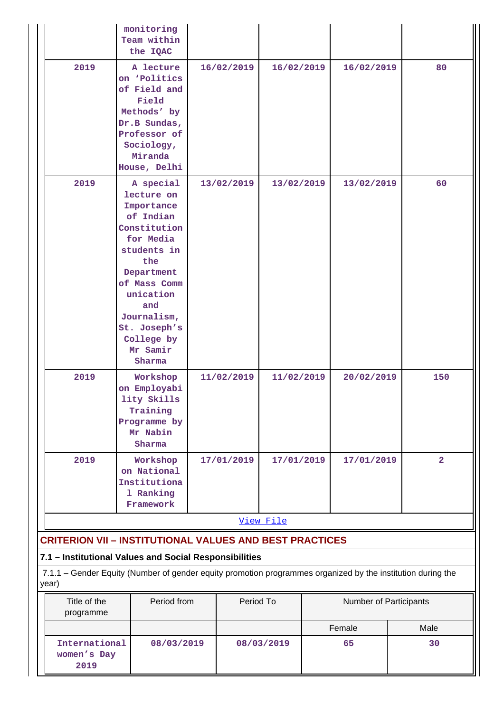|                                                                                                                      | monitoring<br>Team within<br>the IQAC                                                                                                                                                                                      |            |                          |  |                        |                         |      |
|----------------------------------------------------------------------------------------------------------------------|----------------------------------------------------------------------------------------------------------------------------------------------------------------------------------------------------------------------------|------------|--------------------------|--|------------------------|-------------------------|------|
| 2019                                                                                                                 | A lecture<br>on 'Politics<br>of Field and<br>Field<br>Methods' by<br>Dr.B Sundas,<br>Professor of<br>Sociology,<br>Miranda<br>House, Delhi                                                                                 | 16/02/2019 | 16/02/2019               |  | 16/02/2019             |                         | 80   |
| 2019                                                                                                                 | A special<br>lecture on<br>Importance<br>of Indian<br>Constitution<br>for Media<br>students in<br>the<br>Department<br>of Mass Comm<br>unication<br>and<br>Journalism,<br>St. Joseph's<br>College by<br>Mr Samir<br>Sharma | 13/02/2019 | 13/02/2019               |  |                        | 13/02/2019              |      |
| 2019                                                                                                                 | Workshop<br>on Employabi<br>lity Skills<br>Training<br>Programme by<br>Mr Nabin<br>Sharma                                                                                                                                  | 11/02/2019 | 11/02/2019               |  | 20/02/2019             |                         | 150  |
| 2019                                                                                                                 | Workshop<br>on National<br>Institutiona<br>1 Ranking<br>Framework                                                                                                                                                          | 17/01/2019 | 17/01/2019<br>17/01/2019 |  |                        | $\overline{\mathbf{2}}$ |      |
|                                                                                                                      |                                                                                                                                                                                                                            |            | View File                |  |                        |                         |      |
| <b>CRITERION VII - INSTITUTIONAL VALUES AND BEST PRACTICES</b>                                                       |                                                                                                                                                                                                                            |            |                          |  |                        |                         |      |
| 7.1 - Institutional Values and Social Responsibilities                                                               |                                                                                                                                                                                                                            |            |                          |  |                        |                         |      |
| 7.1.1 - Gender Equity (Number of gender equity promotion programmes organized by the institution during the<br>year) |                                                                                                                                                                                                                            |            |                          |  |                        |                         |      |
| Title of the<br>programme                                                                                            | Period from                                                                                                                                                                                                                |            | Period To                |  | Number of Participants |                         |      |
|                                                                                                                      |                                                                                                                                                                                                                            |            |                          |  | Female                 |                         | Male |
| International<br>women's Day<br>2019                                                                                 | 08/03/2019                                                                                                                                                                                                                 |            | 08/03/2019               |  | 65                     |                         | 30   |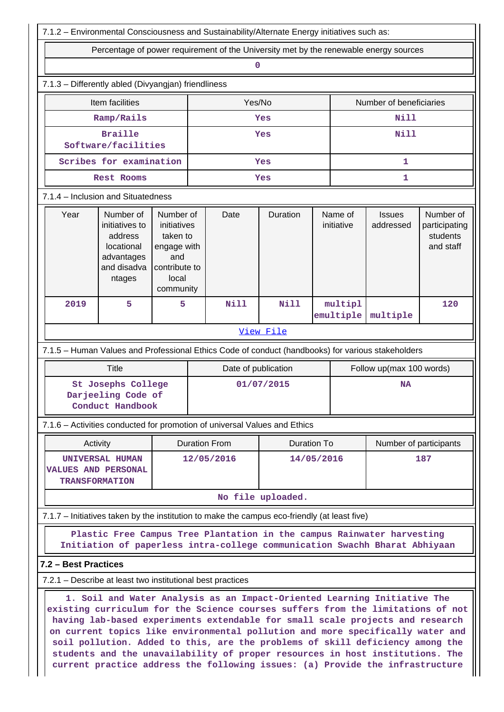|                      |                                                                                                                                                                                                                                                                                                                                                                                                                                                                                                                                                                                   |                                                                                                   |                          | 7.1.2 - Environmental Consciousness and Sustainability/Alternate Energy initiatives such as: |                   |     |                       |                                                     |     |  |  |
|----------------------|-----------------------------------------------------------------------------------------------------------------------------------------------------------------------------------------------------------------------------------------------------------------------------------------------------------------------------------------------------------------------------------------------------------------------------------------------------------------------------------------------------------------------------------------------------------------------------------|---------------------------------------------------------------------------------------------------|--------------------------|----------------------------------------------------------------------------------------------|-------------------|-----|-----------------------|-----------------------------------------------------|-----|--|--|
|                      | Percentage of power requirement of the University met by the renewable energy sources                                                                                                                                                                                                                                                                                                                                                                                                                                                                                             |                                                                                                   |                          |                                                                                              |                   |     |                       |                                                     |     |  |  |
|                      |                                                                                                                                                                                                                                                                                                                                                                                                                                                                                                                                                                                   |                                                                                                   |                          | $\mathbf 0$                                                                                  |                   |     |                       |                                                     |     |  |  |
|                      | 7.1.3 - Differently abled (Divyangjan) friendliness                                                                                                                                                                                                                                                                                                                                                                                                                                                                                                                               |                                                                                                   |                          |                                                                                              |                   |     |                       |                                                     |     |  |  |
|                      | Item facilities                                                                                                                                                                                                                                                                                                                                                                                                                                                                                                                                                                   |                                                                                                   |                          | Yes/No                                                                                       |                   |     |                       | Number of beneficiaries                             |     |  |  |
|                      | Ramp/Rails                                                                                                                                                                                                                                                                                                                                                                                                                                                                                                                                                                        |                                                                                                   |                          |                                                                                              | Yes               |     |                       | <b>Nill</b>                                         |     |  |  |
|                      | <b>Braille</b><br>Software/facilities                                                                                                                                                                                                                                                                                                                                                                                                                                                                                                                                             |                                                                                                   |                          |                                                                                              | Yes               |     |                       | <b>Nill</b>                                         |     |  |  |
|                      | Scribes for examination                                                                                                                                                                                                                                                                                                                                                                                                                                                                                                                                                           |                                                                                                   |                          |                                                                                              | Yes               |     |                       | 1                                                   |     |  |  |
|                      | <b>Rest Rooms</b>                                                                                                                                                                                                                                                                                                                                                                                                                                                                                                                                                                 |                                                                                                   |                          |                                                                                              | Yes               |     |                       | 1                                                   |     |  |  |
|                      | 7.1.4 - Inclusion and Situatedness                                                                                                                                                                                                                                                                                                                                                                                                                                                                                                                                                |                                                                                                   |                          |                                                                                              |                   |     |                       |                                                     |     |  |  |
| Year                 | Number of<br>initiatives to<br>address<br>locational<br>advantages<br>and disadva<br>ntages                                                                                                                                                                                                                                                                                                                                                                                                                                                                                       | Number of<br>initiatives<br>taken to<br>engage with<br>and<br>contribute to<br>local<br>community |                          | Date                                                                                         | Duration          |     | Name of<br>initiative | Number of<br>participating<br>students<br>and staff |     |  |  |
| 2019                 | 5                                                                                                                                                                                                                                                                                                                                                                                                                                                                                                                                                                                 | 5                                                                                                 |                          | <b>Nill</b>                                                                                  | <b>Nill</b>       |     | multipl<br>emultiple  | multiple                                            | 120 |  |  |
|                      |                                                                                                                                                                                                                                                                                                                                                                                                                                                                                                                                                                                   |                                                                                                   |                          |                                                                                              | View File         |     |                       |                                                     |     |  |  |
|                      | 7.1.5 - Human Values and Professional Ethics Code of conduct (handbooks) for various stakeholders                                                                                                                                                                                                                                                                                                                                                                                                                                                                                 |                                                                                                   |                          |                                                                                              |                   |     |                       |                                                     |     |  |  |
|                      | Title                                                                                                                                                                                                                                                                                                                                                                                                                                                                                                                                                                             |                                                                                                   |                          | Date of publication                                                                          |                   |     |                       | Follow up(max 100 words)                            |     |  |  |
|                      | St Josephs College<br>Darjeeling Code of<br>Conduct Handbook                                                                                                                                                                                                                                                                                                                                                                                                                                                                                                                      |                                                                                                   |                          |                                                                                              | 01/07/2015        |     |                       | <b>NA</b>                                           |     |  |  |
|                      | 7.1.6 - Activities conducted for promotion of universal Values and Ethics                                                                                                                                                                                                                                                                                                                                                                                                                                                                                                         |                                                                                                   |                          |                                                                                              |                   |     |                       |                                                     |     |  |  |
|                      | Activity                                                                                                                                                                                                                                                                                                                                                                                                                                                                                                                                                                          |                                                                                                   |                          | <b>Duration From</b>                                                                         | Duration To       |     |                       | Number of participants                              |     |  |  |
|                      | <b>UNIVERSAL HUMAN</b><br><b>VALUES AND PERSONAL</b><br><b>TRANSFORMATION</b>                                                                                                                                                                                                                                                                                                                                                                                                                                                                                                     |                                                                                                   | 12/05/2016<br>14/05/2016 |                                                                                              |                   | 187 |                       |                                                     |     |  |  |
|                      |                                                                                                                                                                                                                                                                                                                                                                                                                                                                                                                                                                                   |                                                                                                   |                          |                                                                                              | No file uploaded. |     |                       |                                                     |     |  |  |
|                      | 7.1.7 - Initiatives taken by the institution to make the campus eco-friendly (at least five)                                                                                                                                                                                                                                                                                                                                                                                                                                                                                      |                                                                                                   |                          |                                                                                              |                   |     |                       |                                                     |     |  |  |
|                      | Plastic Free Campus Tree Plantation in the campus Rainwater harvesting<br>Initiation of paperless intra-college communication Swachh Bharat Abhiyaan                                                                                                                                                                                                                                                                                                                                                                                                                              |                                                                                                   |                          |                                                                                              |                   |     |                       |                                                     |     |  |  |
| 7.2 - Best Practices |                                                                                                                                                                                                                                                                                                                                                                                                                                                                                                                                                                                   |                                                                                                   |                          |                                                                                              |                   |     |                       |                                                     |     |  |  |
|                      | 7.2.1 – Describe at least two institutional best practices                                                                                                                                                                                                                                                                                                                                                                                                                                                                                                                        |                                                                                                   |                          |                                                                                              |                   |     |                       |                                                     |     |  |  |
|                      | 1. Soil and Water Analysis as an Impact-Oriented Learning Initiative The<br>existing curriculum for the Science courses suffers from the limitations of not<br>having lab-based experiments extendable for small scale projects and research<br>on current topics like environmental pollution and more specifically water and<br>soil pollution. Added to this, are the problems of skill deficiency among the<br>students and the unavailability of proper resources in host institutions. The<br>current practice address the following issues: (a) Provide the infrastructure |                                                                                                   |                          |                                                                                              |                   |     |                       |                                                     |     |  |  |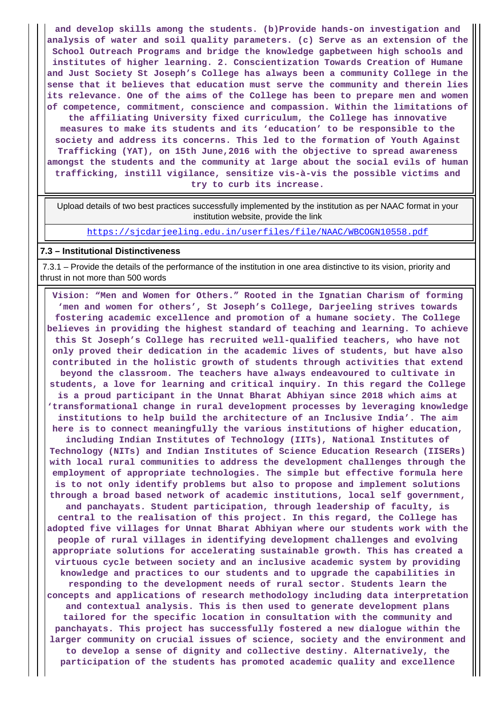**and develop skills among the students. (b)Provide hands-on investigation and analysis of water and soil quality parameters. (c) Serve as an extension of the School Outreach Programs and bridge the knowledge gapbetween high schools and institutes of higher learning. 2. Conscientization Towards Creation of Humane and Just Society St Joseph's College has always been a community College in the sense that it believes that education must serve the community and therein lies its relevance. One of the aims of the College has been to prepare men and women of competence, commitment, conscience and compassion. Within the limitations of the affiliating University fixed curriculum, the College has innovative measures to make its students and its 'education' to be responsible to the society and address its concerns. This led to the formation of Youth Against Trafficking (YAT), on 15th June,2016 with the objective to spread awareness amongst the students and the community at large about the social evils of human trafficking, instill vigilance, sensitize vis-à-vis the possible victims and try to curb its increase.**

 Upload details of two best practices successfully implemented by the institution as per NAAC format in your institution website, provide the link

<https://sjcdarjeeling.edu.in/userfiles/file/NAAC/WBCOGN10558.pdf>

#### **7.3 – Institutional Distinctiveness**

 7.3.1 – Provide the details of the performance of the institution in one area distinctive to its vision, priority and thrust in not more than 500 words

 **Vision: "Men and Women for Others." Rooted in the Ignatian Charism of forming 'men and women for others', St Joseph's College, Darjeeling strives towards fostering academic excellence and promotion of a humane society. The College believes in providing the highest standard of teaching and learning. To achieve this St Joseph's College has recruited well-qualified teachers, who have not only proved their dedication in the academic lives of students, but have also contributed in the holistic growth of students through activities that extend beyond the classroom. The teachers have always endeavoured to cultivate in students, a love for learning and critical inquiry. In this regard the College is a proud participant in the Unnat Bharat Abhiyan since 2018 which aims at 'transformational change in rural development processes by leveraging knowledge institutions to help build the architecture of an Inclusive India'. The aim here is to connect meaningfully the various institutions of higher education, including Indian Institutes of Technology (IITs), National Institutes of Technology (NITs) and Indian Institutes of Science Education Research (IISERs) with local rural communities to address the development challenges through the employment of appropriate technologies. The simple but effective formula here is to not only identify problems but also to propose and implement solutions through a broad based network of academic institutions, local self government, and panchayats. Student participation, through leadership of faculty, is central to the realisation of this project. In this regard, the College has adopted five villages for Unnat Bharat Abhiyan where our students work with the people of rural villages in identifying development challenges and evolving appropriate solutions for accelerating sustainable growth. This has created a virtuous cycle between society and an inclusive academic system by providing knowledge and practices to our students and to upgrade the capabilities in responding to the development needs of rural sector. Students learn the concepts and applications of research methodology including data interpretation and contextual analysis. This is then used to generate development plans tailored for the specific location in consultation with the community and panchayats. This project has successfully fostered a new dialogue within the larger community on crucial issues of science, society and the environment and to develop a sense of dignity and collective destiny. Alternatively, the participation of the students has promoted academic quality and excellence**